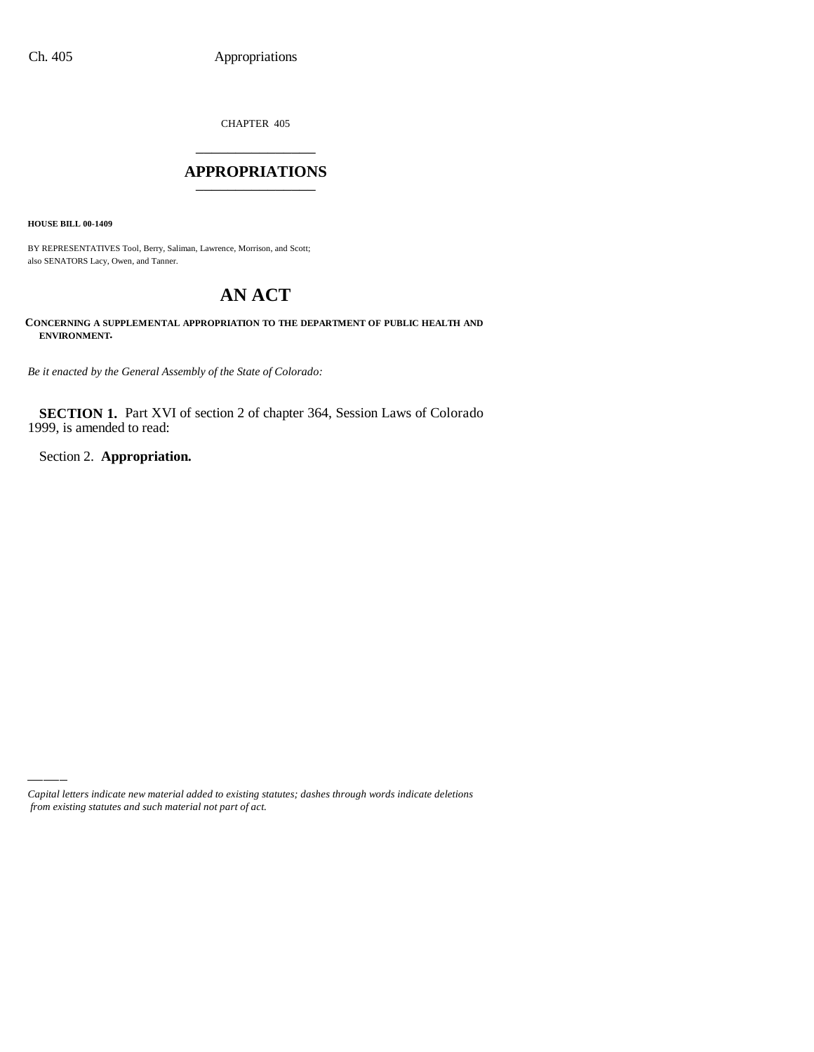CHAPTER 405 \_\_\_\_\_\_\_\_\_\_\_\_\_\_\_

### **APPROPRIATIONS** \_\_\_\_\_\_\_\_\_\_\_\_\_\_\_

**HOUSE BILL 00-1409**

BY REPRESENTATIVES Tool, Berry, Saliman, Lawrence, Morrison, and Scott; also SENATORS Lacy, Owen, and Tanner.

# **AN ACT**

**CONCERNING A SUPPLEMENTAL APPROPRIATION TO THE DEPARTMENT OF PUBLIC HEALTH AND ENVIRONMENT.**

*Be it enacted by the General Assembly of the State of Colorado:*

**SECTION 1.** Part XVI of section 2 of chapter 364, Session Laws of Colorado 1999, is amended to read:

Section 2. **Appropriation.**

*Capital letters indicate new material added to existing statutes; dashes through words indicate deletions from existing statutes and such material not part of act.*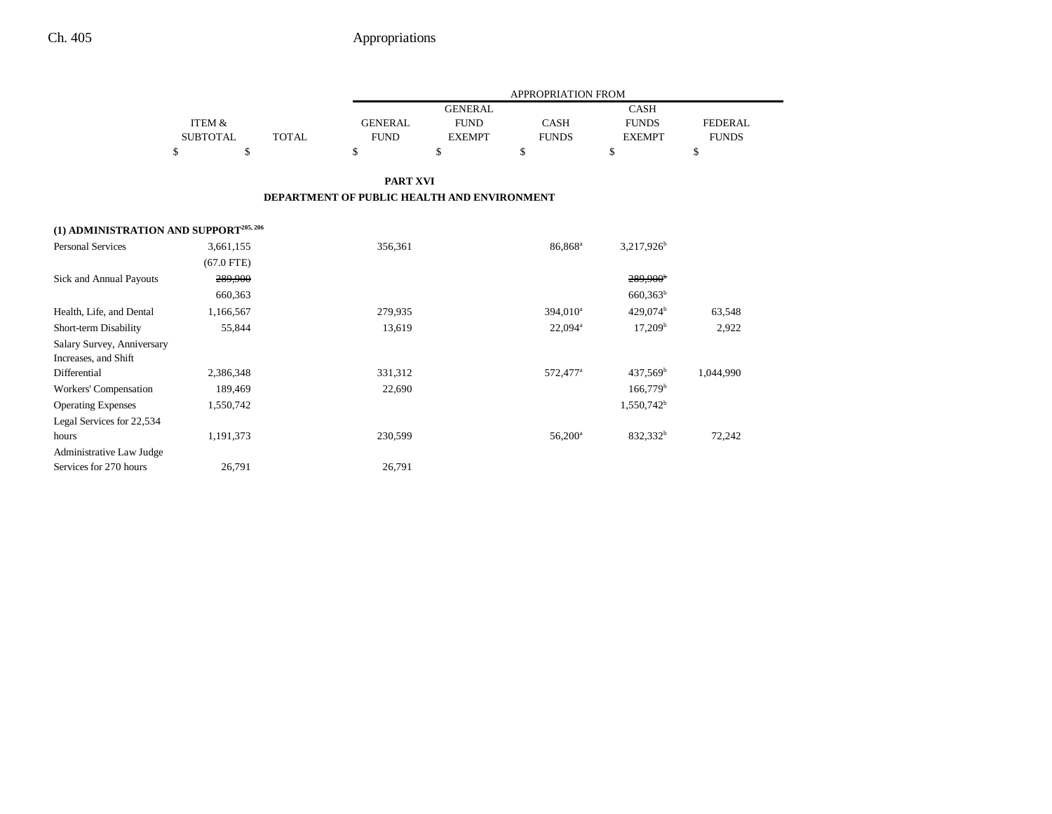|                                        |                   |                                             |                 |                | <b>APPROPRIATION FROM</b> |                        |                |  |
|----------------------------------------|-------------------|---------------------------------------------|-----------------|----------------|---------------------------|------------------------|----------------|--|
|                                        |                   |                                             |                 | <b>GENERAL</b> |                           | <b>CASH</b>            |                |  |
|                                        | <b>ITEM &amp;</b> |                                             | <b>GENERAL</b>  | <b>FUND</b>    | <b>CASH</b>               | <b>FUNDS</b>           | <b>FEDERAL</b> |  |
|                                        | <b>SUBTOTAL</b>   | <b>TOTAL</b>                                | <b>FUND</b>     | <b>EXEMPT</b>  | <b>FUNDS</b>              | <b>EXEMPT</b>          | <b>FUNDS</b>   |  |
|                                        | \$<br>\$          | \$                                          |                 | \$             | \$                        | \$                     | \$             |  |
|                                        |                   |                                             | <b>PART XVI</b> |                |                           |                        |                |  |
|                                        |                   | DEPARTMENT OF PUBLIC HEALTH AND ENVIRONMENT |                 |                |                           |                        |                |  |
| (1) ADMINISTRATION AND SUPPORT205, 206 |                   |                                             |                 |                |                           |                        |                |  |
| Personal Services                      | 3,661,155         |                                             | 356,361         |                | 86,868 <sup>a</sup>       | $3,217,926^b$          |                |  |
|                                        | $(67.0$ FTE)      |                                             |                 |                |                           |                        |                |  |
| <b>Sick and Annual Payouts</b>         | 289,900           |                                             |                 |                |                           | 289,900 <sup>b</sup>   |                |  |
|                                        | 660,363           |                                             |                 |                |                           | $660,363^b$            |                |  |
| Health, Life, and Dental               | 1,166,567         |                                             | 279,935         |                | 394,010 <sup>a</sup>      | $429,074^{\rm b}$      | 63,548         |  |
| Short-term Disability                  | 55,844            |                                             | 13,619          |                | $22,094^a$                | 17,209 <sup>b</sup>    | 2,922          |  |
| Salary Survey, Anniversary             |                   |                                             |                 |                |                           |                        |                |  |
| Increases, and Shift                   |                   |                                             |                 |                |                           |                        |                |  |
| Differential                           | 2,386,348         |                                             | 331,312         |                | 572,477 <sup>a</sup>      | $437,569^{\rm b}$      | 1,044,990      |  |
| <b>Workers' Compensation</b>           | 189,469           |                                             | 22,690          |                |                           | $166,779$ <sup>b</sup> |                |  |
| <b>Operating Expenses</b>              | 1,550,742         |                                             |                 |                |                           | 1,550,742 <sup>b</sup> |                |  |
| Legal Services for 22,534              |                   |                                             |                 |                |                           |                        |                |  |
| hours                                  | 1,191,373         |                                             | 230,599         |                | $56,200^{\circ}$          | 832,332 <sup>b</sup>   | 72,242         |  |
| Administrative Law Judge               |                   |                                             |                 |                |                           |                        |                |  |
| Services for 270 hours                 | 26,791            |                                             | 26,791          |                |                           |                        |                |  |
|                                        |                   |                                             |                 |                |                           |                        |                |  |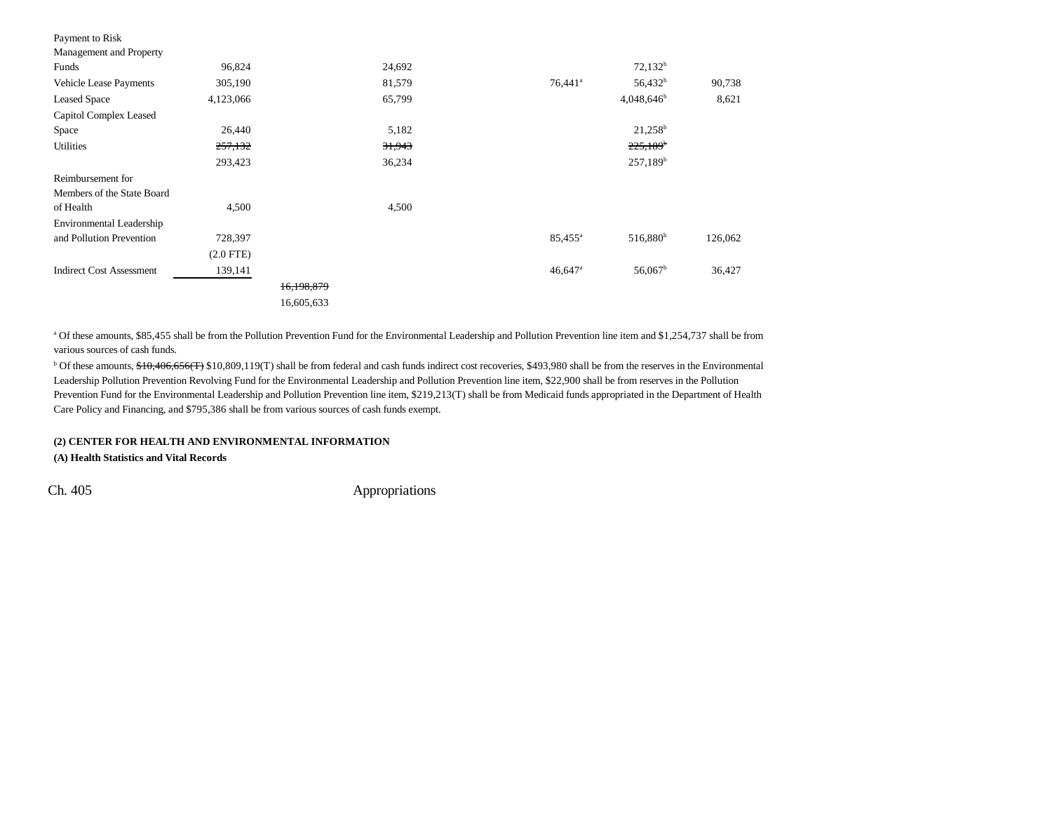| Payment to Risk                 |                |            |        |                       |                       |         |
|---------------------------------|----------------|------------|--------|-----------------------|-----------------------|---------|
| Management and Property         |                |            |        |                       |                       |         |
| Funds                           | 96,824         |            | 24,692 |                       | $72,132^b$            |         |
| <b>Vehicle Lease Payments</b>   | 305,190        |            | 81,579 | $76,441$ <sup>a</sup> | $56,432^b$            | 90,738  |
| <b>Leased Space</b>             | 4,123,066      |            | 65,799 |                       | $4,048,646^b$         | 8,621   |
| Capitol Complex Leased          |                |            |        |                       |                       |         |
| Space                           | 26,440         |            | 5,182  |                       | $21,258^b$            |         |
| Utilities                       | 257,132        |            | 31,943 |                       | $225,189^{\circ}$     |         |
|                                 | 293,423        |            | 36,234 |                       | 257,189 <sup>b</sup>  |         |
| Reimbursement for               |                |            |        |                       |                       |         |
| Members of the State Board      |                |            |        |                       |                       |         |
| of Health                       | 4,500          |            | 4,500  |                       |                       |         |
| Environmental Leadership        |                |            |        |                       |                       |         |
| and Pollution Prevention        | 728,397        |            |        | $85,455^{\circ}$      | $516,880^{\rm b}$     | 126,062 |
|                                 | $(2.0$ FTE $)$ |            |        |                       |                       |         |
| <b>Indirect Cost Assessment</b> | 139,141        |            |        | $46,647$ <sup>a</sup> | $56,067$ <sup>b</sup> | 36,427  |
|                                 |                | 16,198,879 |        |                       |                       |         |
|                                 |                | 16,605,633 |        |                       |                       |         |

<sup>a</sup> Of these amounts, \$85,455 shall be from the Pollution Prevention Fund for the Environmental Leadership and Pollution Prevention line item and \$1,254,737 shall be from various sources of cash funds.

<sup>b</sup> Of these amounts, \$10,406,656(T) \$10,809,119(T) shall be from federal and cash funds indirect cost recoveries, \$493,980 shall be from the reserves in the Environmental Leadership Pollution Prevention Revolving Fund for the Environmental Leadership and Pollution Prevention line item, \$22,900 shall be from reserves in the Pollution Prevention Fund for the Environmental Leadership and Pollution Prevention line item, \$219,213(T) shall be from Medicaid funds appropriated in the Department of Health Care Policy and Financing, and \$795,386 shall be from various sources of cash funds exempt.

#### **(2) CENTER FOR HEALTH AND ENVIRONMENTAL INFORMATION**

**(A) Health Statistics and Vital Records**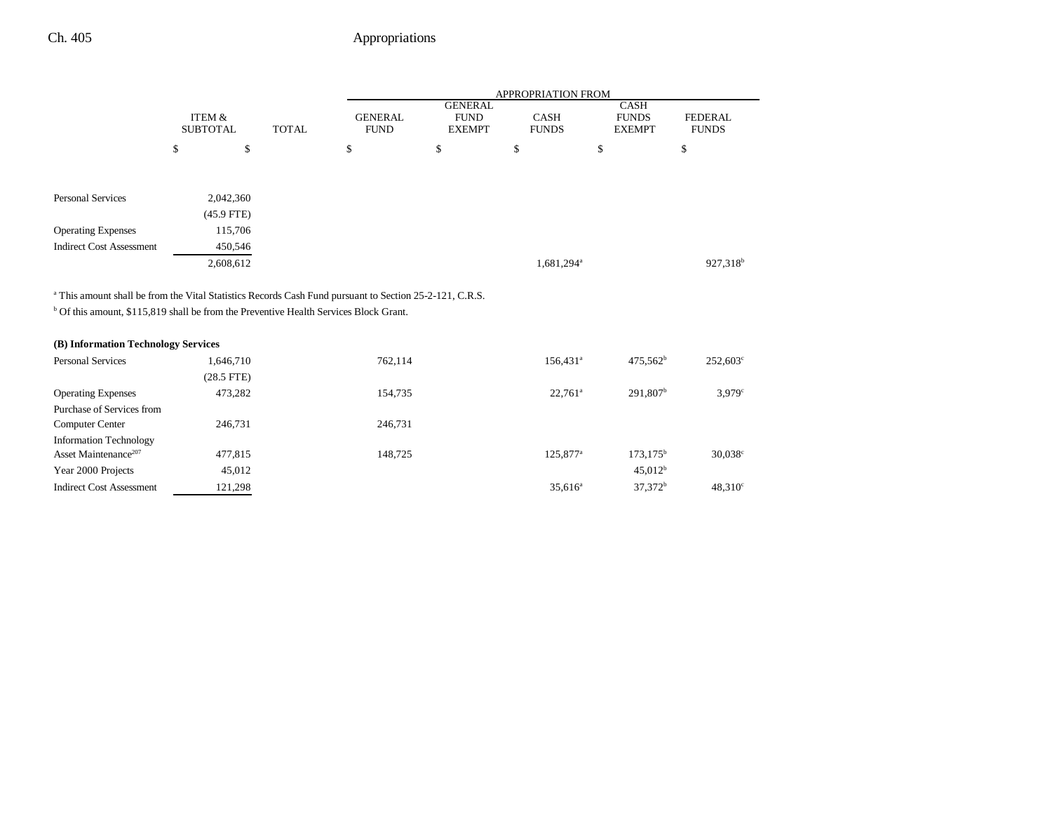|                                                                                                                    |                                      |              |                               |                                                | APPROPRIATION FROM     |                                              |                                |
|--------------------------------------------------------------------------------------------------------------------|--------------------------------------|--------------|-------------------------------|------------------------------------------------|------------------------|----------------------------------------------|--------------------------------|
|                                                                                                                    | <b>ITEM &amp;</b><br><b>SUBTOTAL</b> | <b>TOTAL</b> | <b>GENERAL</b><br><b>FUND</b> | <b>GENERAL</b><br><b>FUND</b><br><b>EXEMPT</b> | CASH<br><b>FUNDS</b>   | <b>CASH</b><br><b>FUNDS</b><br><b>EXEMPT</b> | <b>FEDERAL</b><br><b>FUNDS</b> |
|                                                                                                                    | \$<br>\$                             |              | \$                            | \$                                             | \$                     | \$                                           | \$                             |
|                                                                                                                    |                                      |              |                               |                                                |                        |                                              |                                |
| <b>Personal Services</b>                                                                                           | 2,042,360                            |              |                               |                                                |                        |                                              |                                |
|                                                                                                                    | $(45.9$ FTE)                         |              |                               |                                                |                        |                                              |                                |
| <b>Operating Expenses</b>                                                                                          | 115,706                              |              |                               |                                                |                        |                                              |                                |
| <b>Indirect Cost Assessment</b>                                                                                    | 450,546                              |              |                               |                                                |                        |                                              |                                |
|                                                                                                                    | 2,608,612                            |              |                               |                                                | 1,681,294 <sup>a</sup> |                                              | 927,318 <sup>b</sup>           |
|                                                                                                                    |                                      |              |                               |                                                |                        |                                              |                                |
| <sup>a</sup> This amount shall be from the Vital Statistics Records Cash Fund pursuant to Section 25-2-121, C.R.S. |                                      |              |                               |                                                |                        |                                              |                                |
| $b$ Of this amount, \$115,819 shall be from the Preventive Health Services Block Grant.                            |                                      |              |                               |                                                |                        |                                              |                                |
|                                                                                                                    |                                      |              |                               |                                                |                        |                                              |                                |
| (B) Information Technology Services                                                                                |                                      |              |                               |                                                |                        |                                              |                                |
| <b>Personal Services</b>                                                                                           | 1,646,710                            |              | 762,114                       |                                                | $156,431$ <sup>a</sup> | $475,562^b$                                  | 252,603°                       |
|                                                                                                                    | $(28.5$ FTE)                         |              |                               |                                                |                        |                                              |                                |
| <b>Operating Expenses</b>                                                                                          | 473,282                              |              | 154,735                       |                                                | $22.761^a$             | 291,807 <sup>b</sup>                         | 3.979c                         |
| Purchase of Services from                                                                                          |                                      |              |                               |                                                |                        |                                              |                                |
| Computer Center                                                                                                    | 246,731                              |              | 246,731                       |                                                |                        |                                              |                                |
| <b>Information Technology</b>                                                                                      |                                      |              |                               |                                                |                        |                                              |                                |
| Asset Maintenance <sup>207</sup>                                                                                   | 477,815                              |              | 148,725                       |                                                | 125,877 <sup>a</sup>   | $173,175^{\rm b}$                            | $30,038^{\circ}$               |
| Year 2000 Projects                                                                                                 | 45,012                               |              |                               |                                                |                        | 45,012 <sup>b</sup>                          |                                |
| <b>Indirect Cost Assessment</b>                                                                                    | 121,298                              |              |                               |                                                | $35,616^a$             | $37,372^b$                                   | 48,310 <sup>c</sup>            |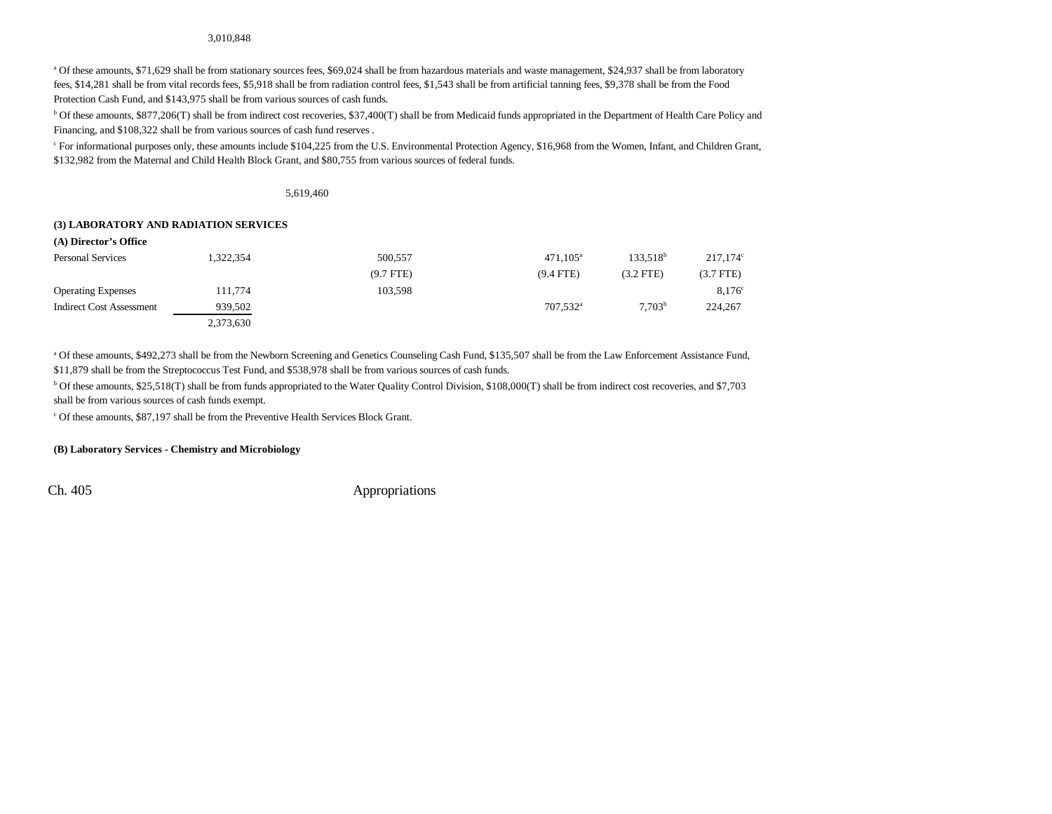#### 3,010,848

<sup>a</sup> Of these amounts, \$71,629 shall be from stationary sources fees, \$69,024 shall be from hazardous materials and waste management, \$24,937 shall be from laboratory fees, \$14,281 shall be from vital records fees, \$5,918 shall be from radiation control fees, \$1,543 shall be from artificial tanning fees, \$9,378 shall be from the Food Protection Cash Fund, and \$143,975 shall be from various sources of cash funds.

<sup>b</sup> Of these amounts, \$877,206(T) shall be from indirect cost recoveries, \$37,400(T) shall be from Medicaid funds appropriated in the Department of Health Care Policy and Financing, and \$108,322 shall be from various sources of cash fund reserves .

c For informational purposes only, these amounts include \$104,225 from the U.S. Environmental Protection Agency, \$16,968 from the Women, Infant, and Children Grant, \$132,982 from the Maternal and Child Health Block Grant, and \$80,755 from various sources of federal funds.

5,619,460

#### **(3) LABORATORY AND RADIATION SERVICES**

| (A) Director's Office     |           |             |                      |                      |                   |
|---------------------------|-----------|-------------|----------------------|----------------------|-------------------|
| <b>Personal Services</b>  | 1.322.354 | 500.557     | $471.105^a$          | 133.518 <sup>b</sup> | $217.174^{\circ}$ |
|                           |           | $(9.7$ FTE) | $(9.4$ FTE)          | $(3.2$ FTE)          | $(3.7$ FTE $)$    |
| <b>Operating Expenses</b> | 111,774   | 103.598     |                      |                      | $8.176^{\circ}$   |
| Indirect Cost Assessment  | 939.502   |             | 707.532 <sup>a</sup> | 7.703 <sup>b</sup>   | 224,267           |
|                           | 2,373,630 |             |                      |                      |                   |

<sup>a</sup> Of these amounts, \$492,273 shall be from the Newborn Screening and Genetics Counseling Cash Fund, \$135,507 shall be from the Law Enforcement Assistance Fund, \$11,879 shall be from the Streptococcus Test Fund, and \$538,978 shall be from various sources of cash funds.

b Of these amounts, \$25,518(T) shall be from funds appropriated to the Water Quality Control Division, \$108,000(T) shall be from indirect cost recoveries, and \$7,703 shall be from various sources of cash funds exempt.

c Of these amounts, \$87,197 shall be from the Preventive Health Services Block Grant.

#### **(B) Laboratory Services - Chemistry and Microbiology**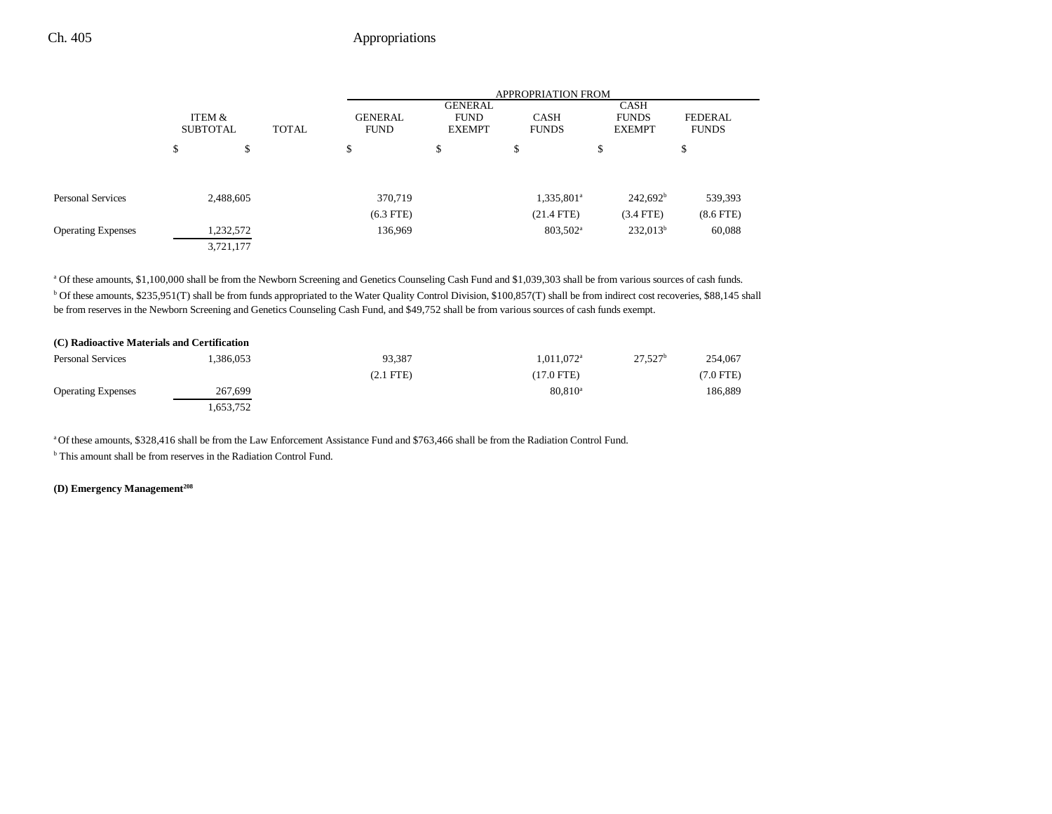|                           |                           |           |              | <b>APPROPRIATION FROM</b>     |                                                |                             |                                       |                                |  |
|---------------------------|---------------------------|-----------|--------------|-------------------------------|------------------------------------------------|-----------------------------|---------------------------------------|--------------------------------|--|
|                           | ITEM &<br><b>SUBTOTAL</b> |           | <b>TOTAL</b> | <b>GENERAL</b><br><b>FUND</b> | <b>GENERAL</b><br><b>FUND</b><br><b>EXEMPT</b> | <b>CASH</b><br><b>FUNDS</b> | CASH<br><b>FUNDS</b><br><b>EXEMPT</b> | <b>FEDERAL</b><br><b>FUNDS</b> |  |
|                           | \$                        | \$        |              | \$                            | \$                                             | đ<br>Φ                      | \$                                    | ¢<br>Φ                         |  |
| Personal Services         |                           | 2,488,605 |              | 370,719                       |                                                | 1,335,801 <sup>a</sup>      | $242,692^b$                           | 539,393                        |  |
|                           |                           |           |              | $(6.3$ FTE)                   |                                                | $(21.4$ FTE)                | $(3.4$ FTE)                           | $(8.6$ FTE $)$                 |  |
| <b>Operating Expenses</b> |                           | 1,232,572 |              | 136,969                       |                                                | 803,502 <sup>a</sup>        | $232,013^b$                           | 60,088                         |  |
|                           |                           | 3,721,177 |              |                               |                                                |                             |                                       |                                |  |

a Of these amounts, \$1,100,000 shall be from the Newborn Screening and Genetics Counseling Cash Fund and \$1,039,303 shall be from various sources of cash funds. b Of these amounts, \$235,951(T) shall be from funds appropriated to the Water Quality Control Division, \$100,857(T) shall be from indirect cost recoveries, \$88,145 shall be from reserves in the Newborn Screening and Genetics Counseling Cash Fund, and \$49,752 shall be from various sources of cash funds exempt.

| (C) Radioactive Materials and Certification |           |                |                          |            |           |
|---------------------------------------------|-----------|----------------|--------------------------|------------|-----------|
| <b>Personal Services</b>                    | 1.386.053 | 93.387         | $1.011.072$ <sup>a</sup> | $27,527^b$ | 254,067   |
|                                             |           | $(2.1$ FTE $)$ | $(17.0$ FTE)             |            | (7.0 FTE) |
| <b>Operating Expenses</b>                   | 267,699   |                | $80.810^{\circ}$         |            | 186.889   |
|                                             | .653,752  |                |                          |            |           |

a Of these amounts, \$328,416 shall be from the Law Enforcement Assistance Fund and \$763,466 shall be from the Radiation Control Fund.

b This amount shall be from reserves in the Radiation Control Fund.

#### **(D) Emergency Management208**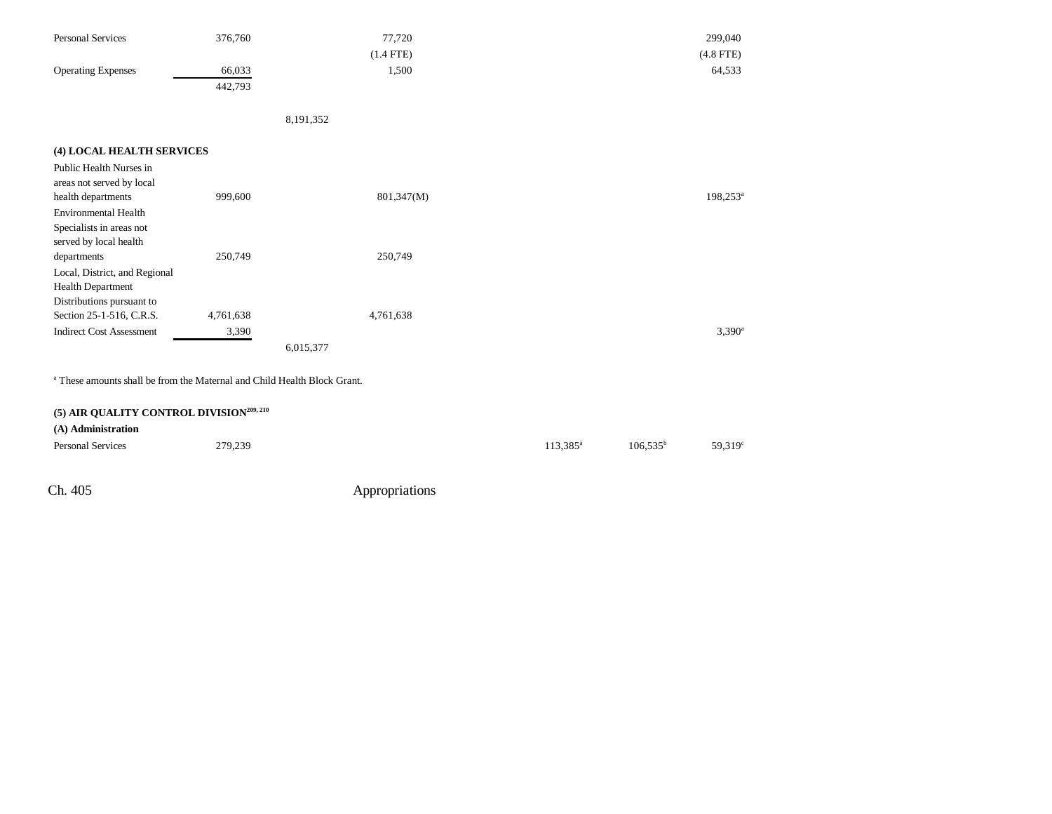| <b>Personal Services</b>                                                            | 376,760   | 77,720      | 299,040              |
|-------------------------------------------------------------------------------------|-----------|-------------|----------------------|
|                                                                                     |           | $(1.4$ FTE) | $(4.8$ FTE)          |
| <b>Operating Expenses</b>                                                           | 66,033    | 1,500       | 64,533               |
|                                                                                     | 442,793   |             |                      |
|                                                                                     |           |             |                      |
|                                                                                     |           | 8,191,352   |                      |
| (4) LOCAL HEALTH SERVICES                                                           |           |             |                      |
| Public Health Nurses in                                                             |           |             |                      |
| areas not served by local                                                           |           |             |                      |
| health departments                                                                  | 999,600   | 801,347(M)  | 198,253 <sup>a</sup> |
| <b>Environmental Health</b>                                                         |           |             |                      |
| Specialists in areas not                                                            |           |             |                      |
| served by local health                                                              |           |             |                      |
| departments                                                                         | 250,749   | 250,749     |                      |
| Local, District, and Regional                                                       |           |             |                      |
| Health Department<br>Distributions pursuant to                                      |           |             |                      |
| Section 25-1-516, C.R.S.                                                            | 4,761,638 | 4,761,638   |                      |
| <b>Indirect Cost Assessment</b>                                                     | 3,390     |             | $3,390^a$            |
|                                                                                     |           | 6,015,377   |                      |
| <sup>a</sup> These amounts shall be from the Maternal and Child Health Block Grant. |           |             |                      |
|                                                                                     |           |             |                      |
| (5) AIR QUALITY CONTROL DIVISION <sup>209, 210</sup>                                |           |             |                      |
|                                                                                     |           |             |                      |

| (A) Administration       |         |                   |               |        |
|--------------------------|---------|-------------------|---------------|--------|
| <b>Personal Services</b> | 279,239 | $113.385^{\circ}$ | $106.535^{b}$ | 59,319 |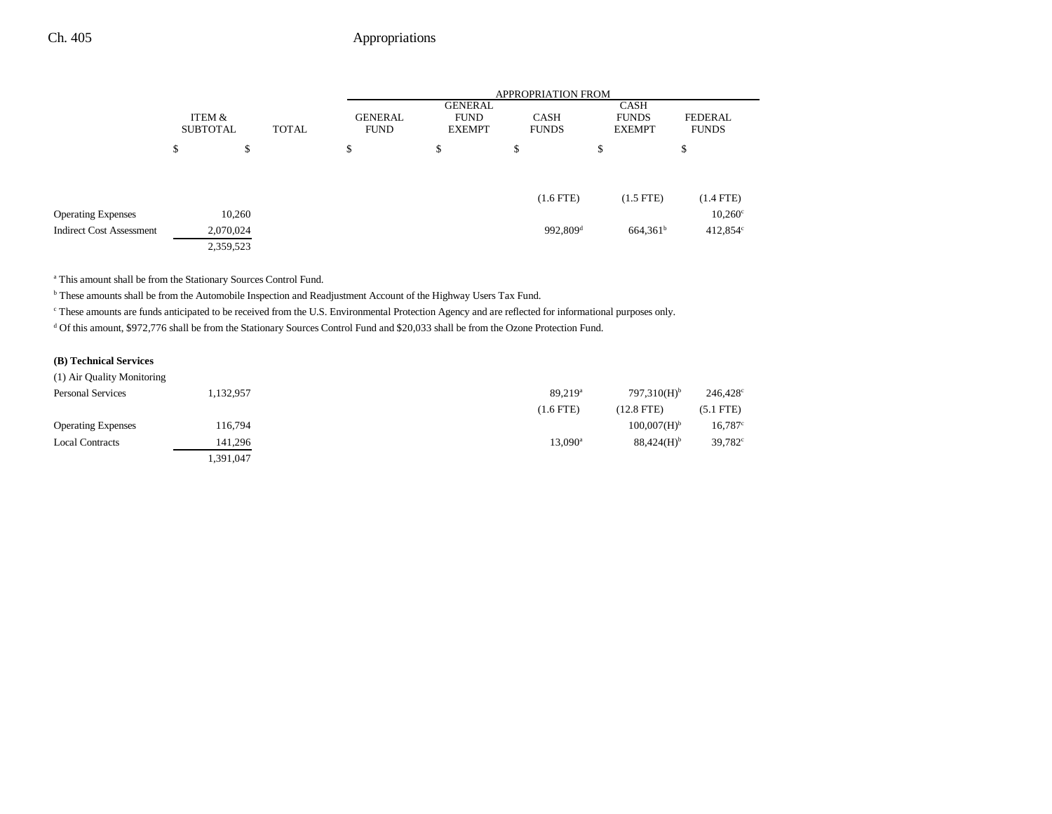|                                 |                           |              |                               |                                                | APPROPRIATION FROM          |                                       |                                |
|---------------------------------|---------------------------|--------------|-------------------------------|------------------------------------------------|-----------------------------|---------------------------------------|--------------------------------|
|                                 | ITEM &<br><b>SUBTOTAL</b> | <b>TOTAL</b> | <b>GENERAL</b><br><b>FUND</b> | <b>GENERAL</b><br><b>FUND</b><br><b>EXEMPT</b> | <b>CASH</b><br><b>FUNDS</b> | CASH<br><b>FUNDS</b><br><b>EXEMPT</b> | <b>FEDERAL</b><br><b>FUNDS</b> |
|                                 | \$<br>\$                  |              | \$                            | \$                                             | \$                          | \$                                    | Φ                              |
|                                 |                           |              |                               |                                                | $(1.6$ FTE)                 | $(1.5$ FTE)                           | $(1.4$ FTE)                    |
| <b>Operating Expenses</b>       | 10,260                    |              |                               |                                                |                             |                                       | $10,260^\circ$                 |
| <b>Indirect Cost Assessment</b> | 2,070,024                 |              |                               |                                                | $992,809$ <sup>d</sup>      | $664,361^b$                           | $412,854^{\circ}$              |
|                                 | 2,359,523                 |              |                               |                                                |                             |                                       |                                |

a This amount shall be from the Stationary Sources Control Fund.

b These amounts shall be from the Automobile Inspection and Readjustment Account of the Highway Users Tax Fund.

c These amounts are funds anticipated to be received from the U.S. Environmental Protection Agency and are reflected for informational purposes only.

d Of this amount, \$972,776 shall be from the Stationary Sources Control Fund and \$20,033 shall be from the Ozone Protection Fund.

#### **(B) Technical Services**

| (1) Air Quality Monitoring |           |                  |                           |                     |
|----------------------------|-----------|------------------|---------------------------|---------------------|
| <b>Personal Services</b>   | 1,132,957 | $89,219^{\circ}$ | $797.310(H)$ <sup>b</sup> | 246,428             |
|                            |           | $(1.6$ FTE)      | $(12.8$ FTE)              | $(5.1$ FTE)         |
| <b>Operating Expenses</b>  | 116,794   |                  | $100,007(H)$ <sup>b</sup> | 16,787              |
| <b>Local Contracts</b>     | 141.296   | $13.090^{\rm a}$ | $88.424(H)$ <sup>b</sup>  | 39,782 <sup>°</sup> |
|                            | .391,047  |                  |                           |                     |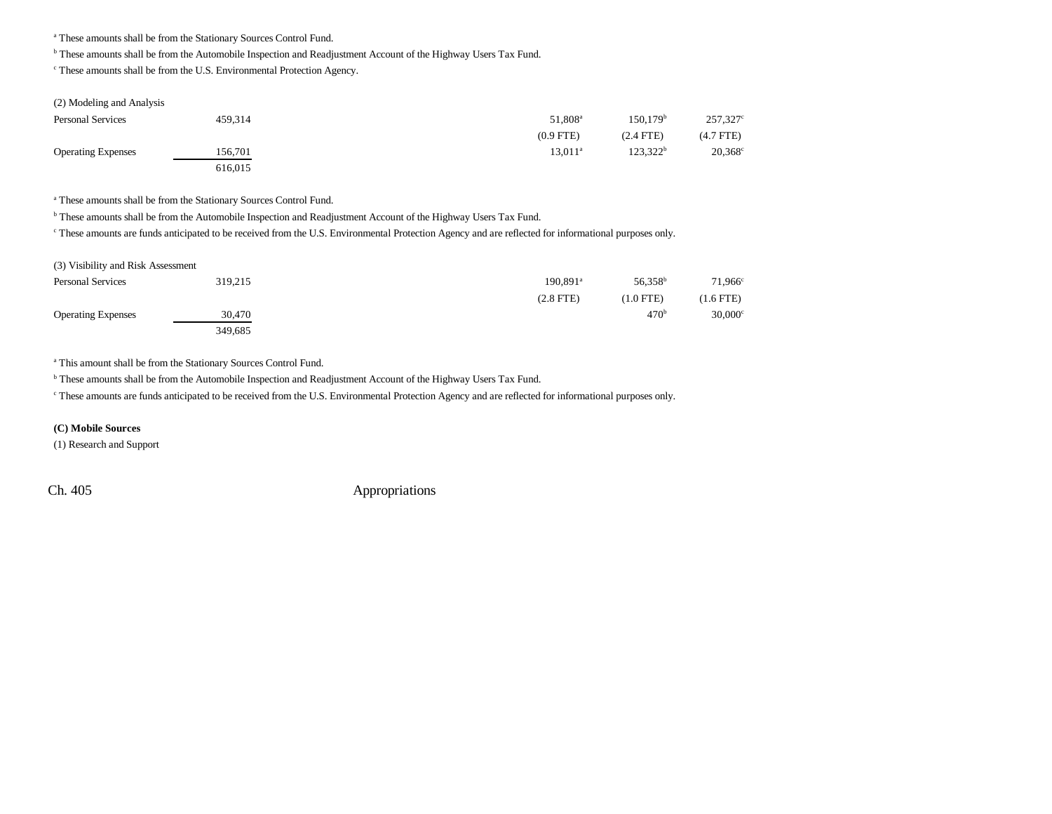a These amounts shall be from the Stationary Sources Control Fund.

b These amounts shall be from the Automobile Inspection and Readjustment Account of the Highway Users Tax Fund.

c These amounts shall be from the U.S. Environmental Protection Agency.

| (2) Modeling and Analysis |         |                     |                      |                |
|---------------------------|---------|---------------------|----------------------|----------------|
| <b>Personal Services</b>  | 459,314 | 51.808 <sup>a</sup> | 150.179 <sup>b</sup> | 257,327        |
|                           |         | $(0.9$ FTE)         | $(2.4$ FTE)          | $(4.7$ FTE $)$ |
| <b>Operating Expenses</b> | 156.701 | $13.011^a$          | $123.322^b$          | 20,368         |
|                           | 616,015 |                     |                      |                |

a These amounts shall be from the Stationary Sources Control Fund.

b These amounts shall be from the Automobile Inspection and Readjustment Account of the Highway Users Tax Fund.

c These amounts are funds anticipated to be received from the U.S. Environmental Protection Agency and are reflected for informational purposes only.

| (3) Visibility and Risk Assessment |         |                        |                     |             |
|------------------------------------|---------|------------------------|---------------------|-------------|
| <b>Personal Services</b>           | 319.215 | $190.891$ <sup>a</sup> | 56.358 <sup>b</sup> | 71.966      |
|                                    |         | $(2.8$ FTE)            | $(1.0$ FTE)         | $(1.6$ FTE) |
| <b>Operating Expenses</b>          | 30,470  |                        | 470 <sup>b</sup>    | 30,000      |
|                                    | 349,685 |                        |                     |             |

a This amount shall be from the Stationary Sources Control Fund.

**b** These amounts shall be from the Automobile Inspection and Readjustment Account of the Highway Users Tax Fund.

c These amounts are funds anticipated to be received from the U.S. Environmental Protection Agency and are reflected for informational purposes only.

#### **(C) Mobile Sources**

(1) Research and Support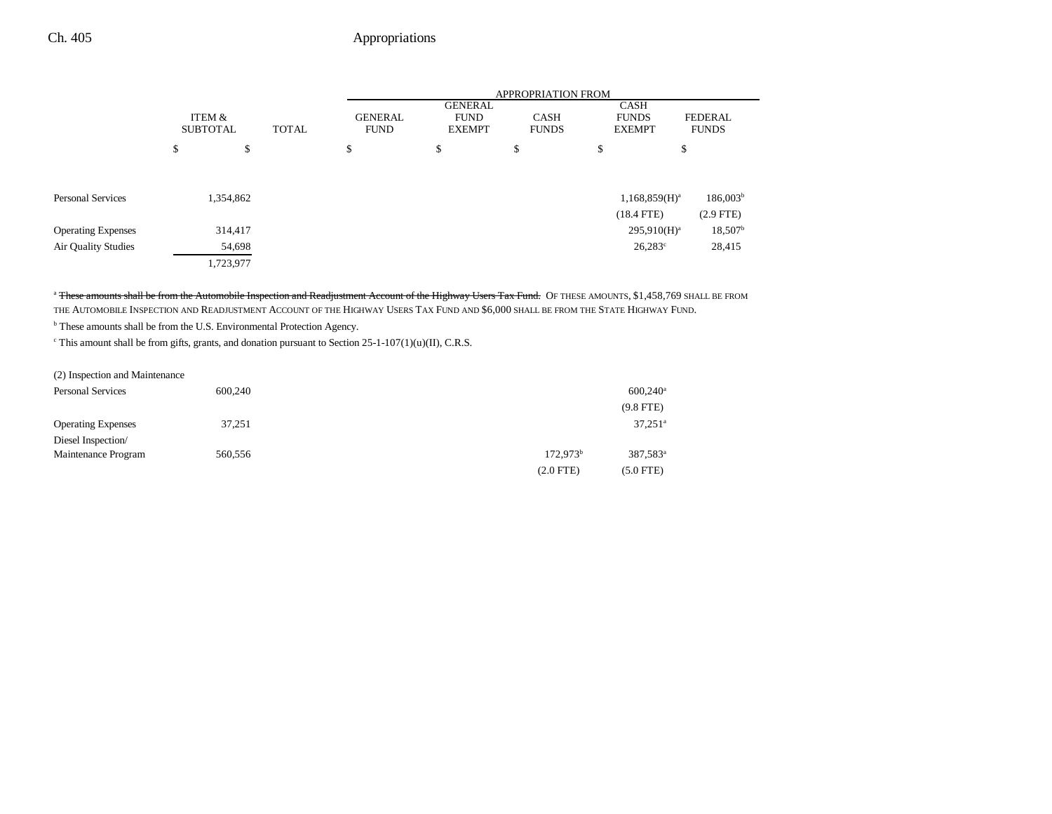|                            | ITEM &<br><b>SUBTOTAL</b><br><b>TOTAL</b> |           | <b>APPROPRIATION FROM</b>     |                                                |                             |    |                                              |                                |
|----------------------------|-------------------------------------------|-----------|-------------------------------|------------------------------------------------|-----------------------------|----|----------------------------------------------|--------------------------------|
|                            |                                           |           | <b>GENERAL</b><br><b>FUND</b> | <b>GENERAL</b><br><b>FUND</b><br><b>EXEMPT</b> | <b>CASH</b><br><b>FUNDS</b> |    | <b>CASH</b><br><b>FUNDS</b><br><b>EXEMPT</b> | <b>FEDERAL</b><br><b>FUNDS</b> |
|                            | \$                                        | \$        | \$                            | \$                                             | \$                          | \$ | \$                                           |                                |
|                            |                                           |           |                               |                                                |                             |    |                                              |                                |
| Personal Services          |                                           | 1,354,862 |                               |                                                |                             |    | $1,168,859(H)^a$                             | 186,003 <sup>b</sup>           |
|                            |                                           |           |                               |                                                |                             |    | $(18.4$ FTE)                                 | $(2.9$ FTE)                    |
| <b>Operating Expenses</b>  |                                           | 314,417   |                               |                                                |                             |    | $295,910(H)^a$                               | $18,507^{\rm b}$               |
| <b>Air Quality Studies</b> |                                           | 54,698    |                               |                                                |                             |    | $26,283^{\circ}$                             | 28,415                         |
|                            |                                           | 1,723,977 |                               |                                                |                             |    |                                              |                                |

<sup>a</sup> These amounts shall be from the Automobile Inspection and Readjustment Account of the Highway Users Tax Fund. OF THESE AMOUNTS, \$1,458,769 SHALL BE FROM THE AUTOMOBILE INSPECTION AND READJUSTMENT ACCOUNT OF THE HIGHWAY USERS TAX FUND AND \$6,000 SHALL BE FROM THE STATE HIGHWAY FUND.

b These amounts shall be from the U.S. Environmental Protection Agency.

 $\textdegree$  This amount shall be from gifts, grants, and donation pursuant to Section 25-1-107(1)(u)(II), C.R.S.

| (2) Inspection and Maintenance |         |                      |                        |
|--------------------------------|---------|----------------------|------------------------|
| <b>Personal Services</b>       | 600,240 |                      | $600,240$ <sup>a</sup> |
|                                |         |                      | $(9.8$ FTE)            |
| <b>Operating Expenses</b>      | 37,251  |                      | $37,251$ <sup>a</sup>  |
| Diesel Inspection/             |         |                      |                        |
| Maintenance Program            | 560,556 | 172.973 <sup>b</sup> | 387.583 <sup>a</sup>   |
|                                |         | $(2.0$ FTE)          | $(5.0$ FTE)            |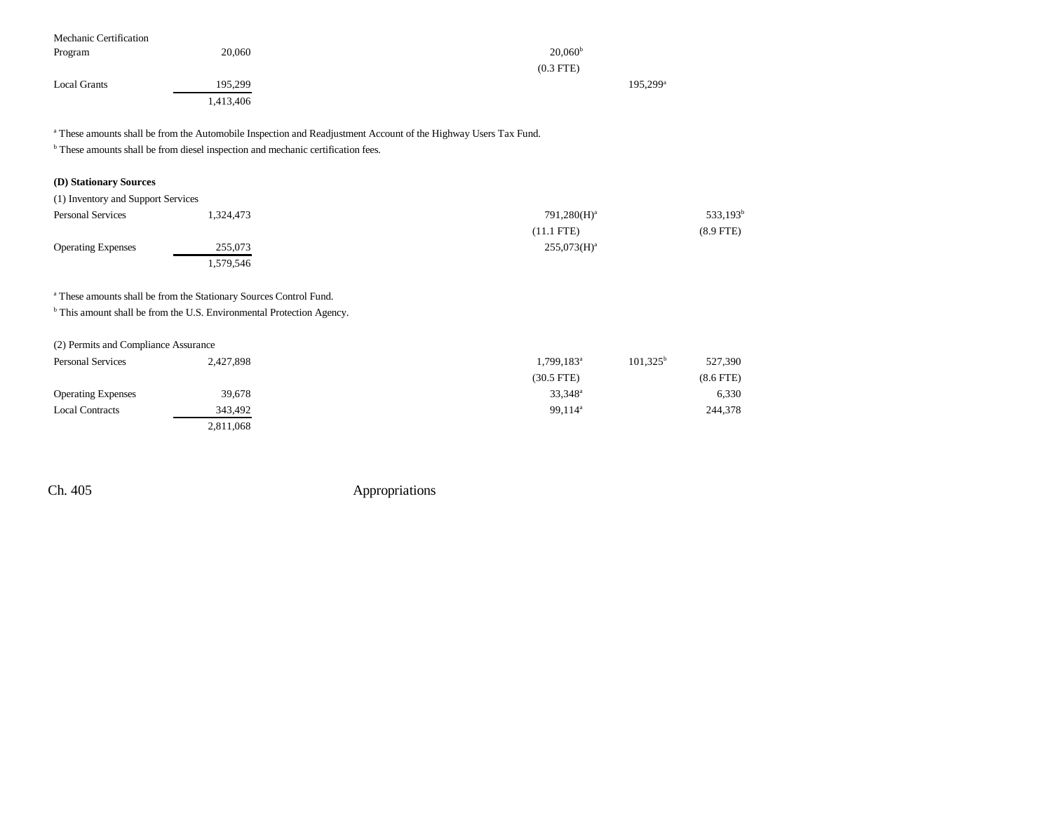| Mechanic Certification |           |                      |  |
|------------------------|-----------|----------------------|--|
| Program                | 20,060    | $20,060^{\rm b}$     |  |
|                        |           | $(0.3$ FTE)          |  |
| <b>Local Grants</b>    | 195,299   | 195,299 <sup>a</sup> |  |
|                        | 1,413,406 |                      |  |

<sup>a</sup> These amounts shall be from the Automobile Inspection and Readjustment Account of the Highway Users Tax Fund.

 $^{\rm b}$  These amounts shall be from diesel inspection and mechanic certification fees.

### **(D) Stationary Sources**

| (1) Inventory and Support Services |           |                |             |
|------------------------------------|-----------|----------------|-------------|
| <b>Personal Services</b>           | 1.324.473 | $791,280(H)^a$ | $533,193^t$ |
|                                    |           | $(11.1$ FTE)   | $(8.9$ FTE) |
| <b>Operating Expenses</b>          | 255,073   | $255,073(H)^a$ |             |
|                                    | . 579,546 |                |             |

a These amounts shall be from the Stationary Sources Control Fund.

**b** This amount shall be from the U.S. Environmental Protection Agency.

#### (2) Permits and Compliance Assurance

| <b>Personal Services</b>  | 2,427,898 | 1,799,183 <sup>a</sup> | $101.325^b$<br>527,390 |
|---------------------------|-----------|------------------------|------------------------|
|                           |           | $(30.5$ FTE)           | $(8.6$ FTE $)$         |
| <b>Operating Expenses</b> | 39,678    | $33,348^{\circ}$       | 6,330                  |
| <b>Local Contracts</b>    | 343,492   | 99.114 <sup>a</sup>    | 244,378                |
|                           | 2,811,068 |                        |                        |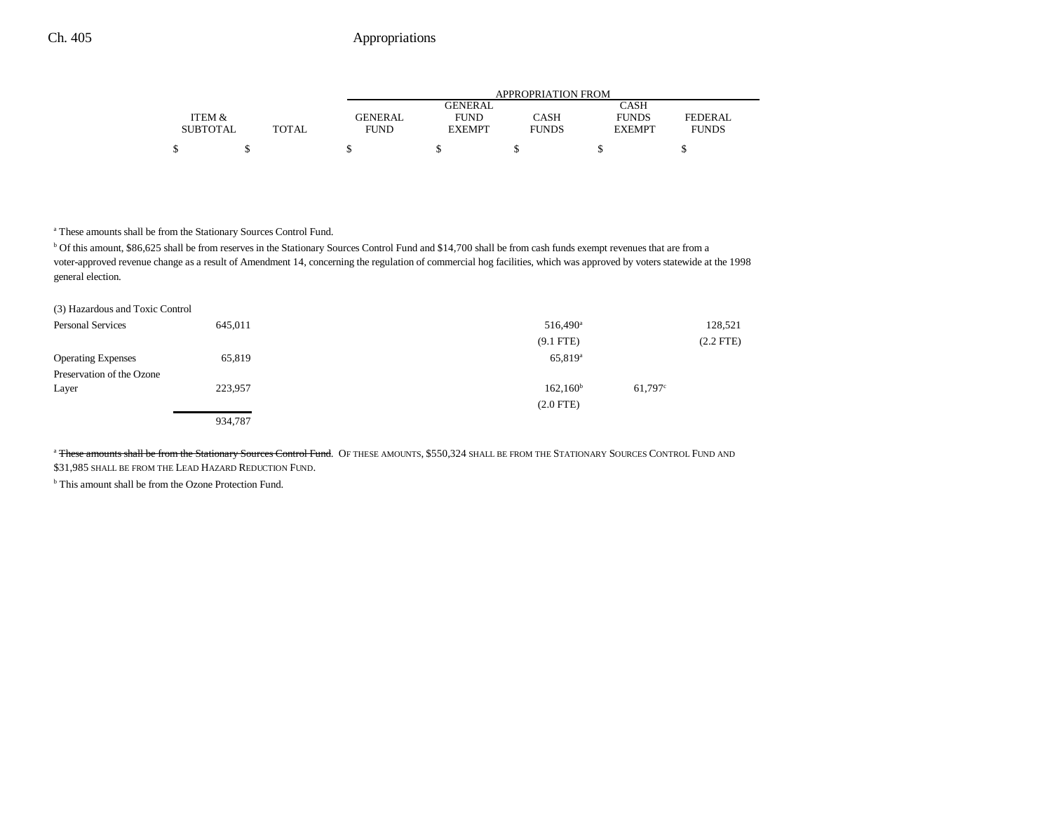|                 |              | APPROPRIATION FROM |                |              |               |                |
|-----------------|--------------|--------------------|----------------|--------------|---------------|----------------|
|                 |              |                    | <b>GENERAL</b> |              | CASH          |                |
| ITEM &          |              | <b>GENERAL</b>     | <b>FUND</b>    | CASH         | <b>FUNDS</b>  | <b>FEDERAL</b> |
| <b>SUBTOTAL</b> | <b>TOTAL</b> | FUND               | <b>EXEMPT</b>  | <b>FUNDS</b> | <b>EXEMPT</b> | <b>FUNDS</b>   |
| ሖ               |              |                    |                |              |               |                |

a These amounts shall be from the Stationary Sources Control Fund.

b Of this amount, \$86,625 shall be from reserves in the Stationary Sources Control Fund and \$14,700 shall be from cash funds exempt revenues that are from a voter-approved revenue change as a result of Amendment 14, concerning the regulation of commercial hog facilities, which was approved by voters statewide at the 1998 general election.

| (3) Hazardous and Toxic Control |         |                      |             |
|---------------------------------|---------|----------------------|-------------|
| Personal Services               | 645,011 | 516,490 <sup>a</sup> | 128,521     |
|                                 |         | $(9.1$ FTE)          | $(2.2$ FTE) |
| <b>Operating Expenses</b>       | 65,819  | $65,819^{\rm a}$     |             |
| Preservation of the Ozone       |         |                      |             |
| Layer                           | 223,957 | 162,160 <sup>b</sup> | 61.797c     |
|                                 |         | $(2.0$ FTE $)$       |             |
|                                 | 934,787 |                      |             |

<sup>a</sup> These amounts shall be from the Stationary Sources Control Fund. OF THESE AMOUNTS, \$550,324 SHALL BE FROM THE STATIONARY SOURCES CONTROL FUND AND \$31,985 SHALL BE FROM THE LEAD HAZARD REDUCTION FUND.

**b** This amount shall be from the Ozone Protection Fund.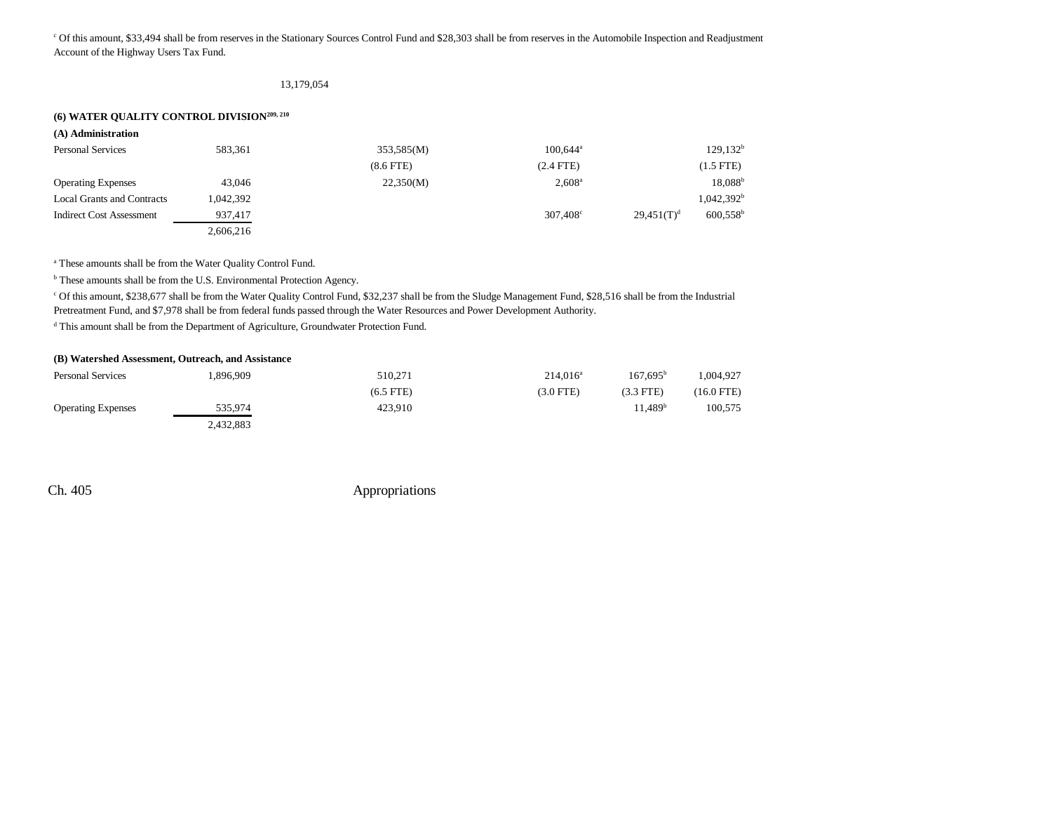c Of this amount, \$33,494 shall be from reserves in the Stationary Sources Control Fund and \$28,303 shall be from reserves in the Automobile Inspection and Readjustment Account of the Highway Users Tax Fund.

#### 13,179,054

### **(6) WATER QUALITY CONTROL DIVISION209, 210**

| (A) Administration                |           |                |                   |               |                      |
|-----------------------------------|-----------|----------------|-------------------|---------------|----------------------|
| <b>Personal Services</b>          | 583,361   | 353,585(M)     | $100.644^{\circ}$ |               | 129,132 <sup>b</sup> |
|                                   |           | $(8.6$ FTE $)$ | $(2.4$ FTE)       |               | $(1.5$ FTE)          |
| <b>Operating Expenses</b>         | 43,046    | 22,350(M)      | $2,608^{\rm a}$   |               | $18,088^{\rm b}$     |
| <b>Local Grants and Contracts</b> | 1.042.392 |                |                   |               | $1,042,392^b$        |
| Indirect Cost Assessment          | 937,417   |                | $307.408^{\circ}$ | $29,451(T)^d$ | $600,558^{\rm b}$    |
|                                   | 2,606,216 |                |                   |               |                      |

a These amounts shall be from the Water Quality Control Fund.

b These amounts shall be from the U.S. Environmental Protection Agency.

c Of this amount, \$238,677 shall be from the Water Quality Control Fund, \$32,237 shall be from the Sludge Management Fund, \$28,516 shall be from the Industrial Pretreatment Fund, and \$7,978 shall be from federal funds passed through the Water Resources and Power Development Authority.

d This amount shall be from the Department of Agriculture, Groundwater Protection Fund.

|                           | (B) Watershed Assessment, Outreach, and Assistance |             |             |                      |            |
|---------------------------|----------------------------------------------------|-------------|-------------|----------------------|------------|
| Personal Services         | .896.909                                           | 510.271     | $214.016^a$ | 167.695 <sup>b</sup> | 1.004.927  |
|                           |                                                    | $(6.5$ FTE) | $(3.0$ FTE) | $(3.3$ FTE)          | (16.0 FTE) |
| <b>Operating Expenses</b> | 535.974                                            | 423.910     |             | 11.489 <sup>b</sup>  | 100.575    |
|                           | 2.432.883                                          |             |             |                      |            |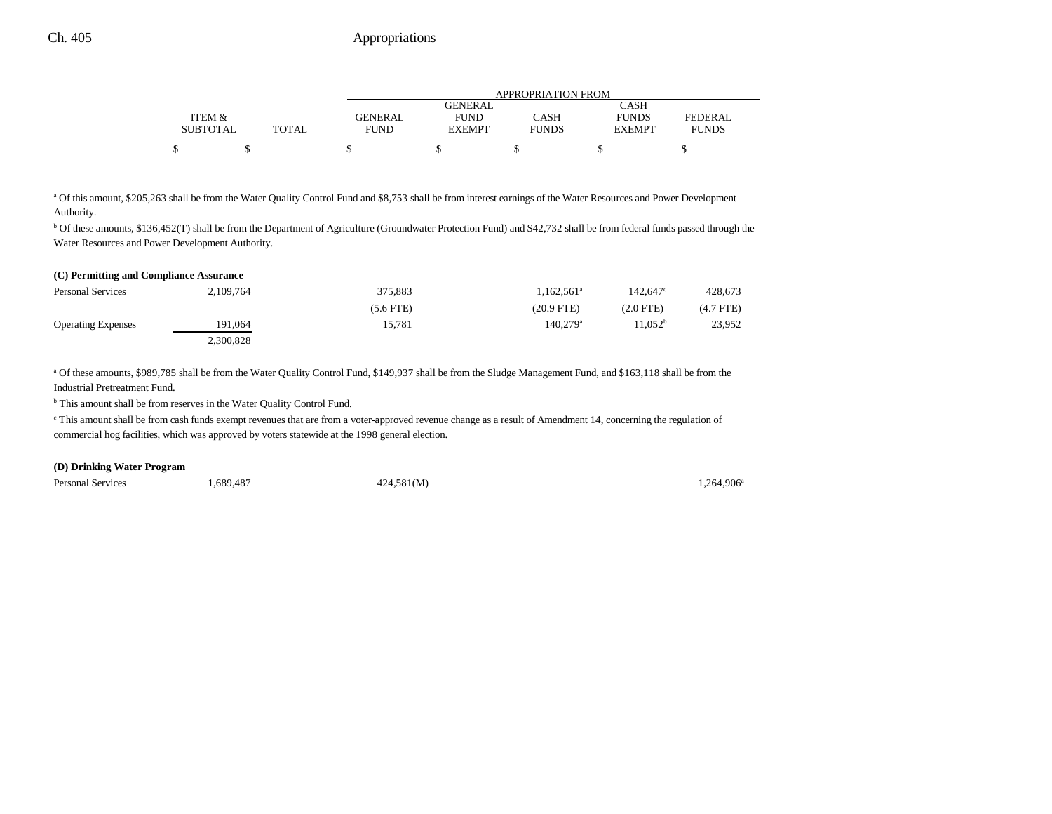|                 |              | <b>APPROPRIATION FROM</b> |                |              |               |              |
|-----------------|--------------|---------------------------|----------------|--------------|---------------|--------------|
|                 |              |                           | <b>GENERAL</b> |              | CASH          |              |
| ITEM &          |              | GENERAL                   | <b>FUND</b>    | CASH         | <b>FUNDS</b>  | FEDERAL      |
| <b>SUBTOTAL</b> | <b>TOTAL</b> | <b>FUND</b>               | <b>EXEMPT</b>  | <b>FUNDS</b> | <b>EXEMPT</b> | <b>FUNDS</b> |
| ሖ               |              |                           |                |              |               |              |

a Of this amount, \$205,263 shall be from the Water Quality Control Fund and \$8,753 shall be from interest earnings of the Water Resources and Power Development Authority.

b Of these amounts, \$136,452(T) shall be from the Department of Agriculture (Groundwater Protection Fund) and \$42,732 shall be from federal funds passed through the Water Resources and Power Development Authority.

| (C) Permitting and Compliance Assurance |           |             |                        |                   |             |  |
|-----------------------------------------|-----------|-------------|------------------------|-------------------|-------------|--|
| Personal Services                       | 2,109,764 | 375.883     | $1.162.561^a$          | $142.647^{\circ}$ | 428,673     |  |
|                                         |           | $(5.6$ FTE) | $(20.9$ FTE)           | (2.0 FTE)         | $(4.7$ FTE) |  |
| <b>Operating Expenses</b>               | 191.064   | 15.781      | $140.279$ <sup>a</sup> | $1.052^b$         | 23,952      |  |
|                                         | 2,300,828 |             |                        |                   |             |  |

a Of these amounts, \$989,785 shall be from the Water Quality Control Fund, \$149,937 shall be from the Sludge Management Fund, and \$163,118 shall be from the Industrial Pretreatment Fund.

b This amount shall be from reserves in the Water Quality Control Fund.

<sup>c</sup> This amount shall be from cash funds exempt revenues that are from a voter-approved revenue change as a result of Amendment 14, concerning the regulation of commercial hog facilities, which was approved by voters statewide at the 1998 general election.

#### **(D) Drinking Water Program**

Personal Services 1,689,487 1,089,487 424,581(M) 2014 1,264,906<sup>a</sup>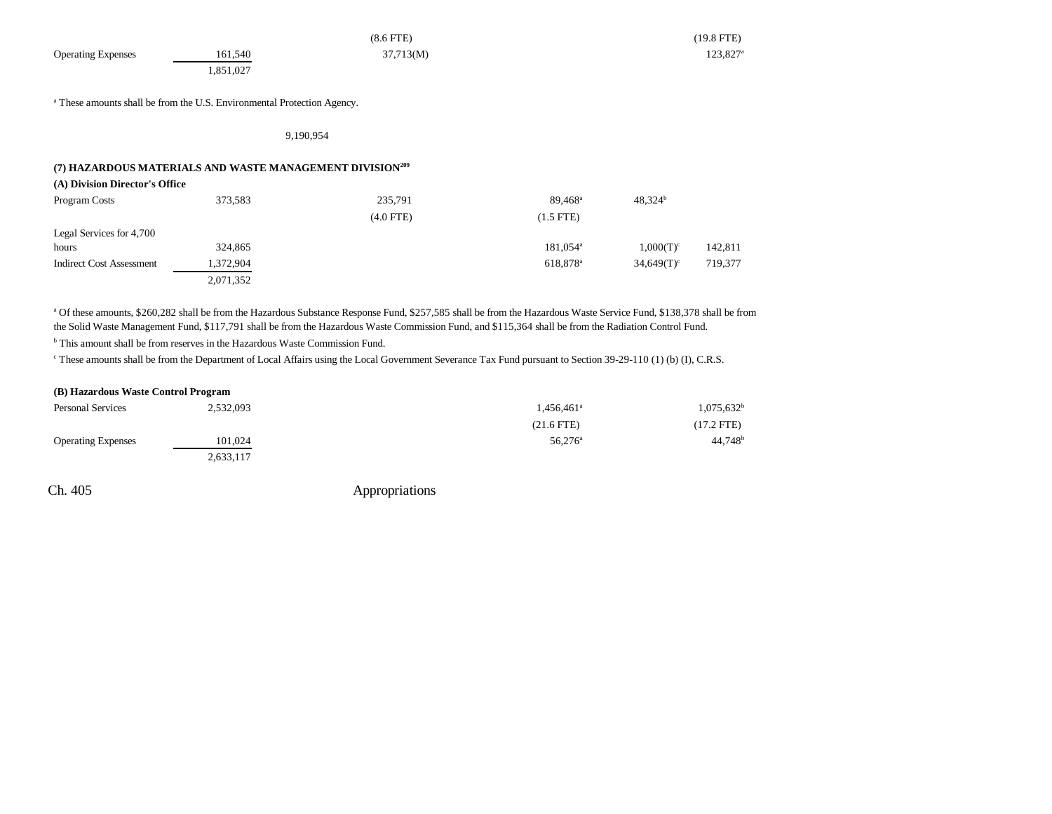|                           |                                                                                    | $(8.6$ FTE) | $(19.8$ FTE)         |
|---------------------------|------------------------------------------------------------------------------------|-------------|----------------------|
| <b>Operating Expenses</b> | 161,540                                                                            | 37,713(M)   | 123,827 <sup>a</sup> |
|                           | .851,027                                                                           |             |                      |
|                           |                                                                                    |             |                      |
|                           | <sup>a</sup> These amounts shall be from the U.S. Environmental Protection Agency. |             |                      |

9,190,954

### **(7) HAZARDOUS MATERIALS AND WASTE MANAGEMENT DIVISION209**

**(A) Division Director's Office**

| Program Costs                   | 373,583   | 235,791     | $89.468^{\circ}$     | $48,324^b$    |         |
|---------------------------------|-----------|-------------|----------------------|---------------|---------|
|                                 |           | $(4.0$ FTE) | $(1.5$ FTE)          |               |         |
| Legal Services for 4,700        |           |             |                      |               |         |
| hours                           | 324,865   |             | $181,054^{\circ}$    | $1,000(T)^c$  | 142,811 |
| <b>Indirect Cost Assessment</b> | 1,372,904 |             | 618.878 <sup>a</sup> | $34,649(T)^c$ | 719,377 |
|                                 | 2,071,352 |             |                      |               |         |

a Of these amounts, \$260,282 shall be from the Hazardous Substance Response Fund, \$257,585 shall be from the Hazardous Waste Service Fund, \$138,378 shall be from the Solid Waste Management Fund, \$117,791 shall be from the Hazardous Waste Commission Fund, and \$115,364 shall be from the Radiation Control Fund.

<sup>b</sup> This amount shall be from reserves in the Hazardous Waste Commission Fund.

c These amounts shall be from the Department of Local Affairs using the Local Government Severance Tax Fund pursuant to Section 39-29-110 (1) (b) (I), C.R.S.

| (B) Hazardous Waste Control Program |           |                        |                          |
|-------------------------------------|-----------|------------------------|--------------------------|
| <b>Personal Services</b>            | 2,532,093 | 1,456,461 <sup>a</sup> | $1,075,632$ <sup>t</sup> |
|                                     |           | $(21.6$ FTE)           | $(17.2$ FTE)             |
| <b>Operating Expenses</b>           | 101.024   | $56.276^{\circ}$       | $44,748$ <sup>t</sup>    |
|                                     | 2,633,117 |                        |                          |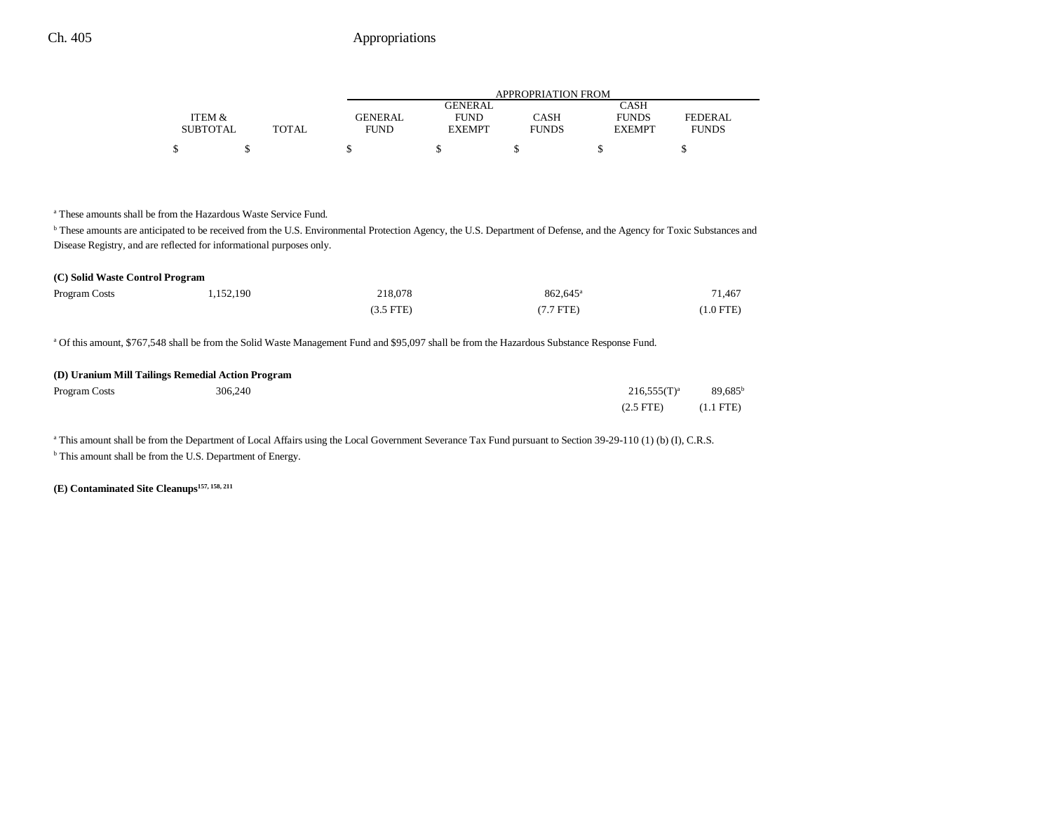|                 |       | APPROPRIATION FROM |                |              |               |              |
|-----------------|-------|--------------------|----------------|--------------|---------------|--------------|
|                 |       |                    | <b>GENERAL</b> |              | CASH          |              |
| ITEM &          |       | GENERAL            | <b>FUND</b>    | CASH         | <b>FUNDS</b>  | FEDERAL      |
| <b>SUBTOTAL</b> | TOTAL | <b>FUND</b>        | <b>EXEMPT</b>  | <b>FUNDS</b> | <b>EXEMPT</b> | <b>FUNDS</b> |
| \$              |       |                    |                |              |               |              |

a These amounts shall be from the Hazardous Waste Service Fund.

**b** These amounts are anticipated to be received from the U.S. Environmental Protection Agency, the U.S. Department of Defense, and the Agency for Toxic Substances and Disease Registry, and are reflected for informational purposes only.

| (C) Solid Waste Control Program |           |             |                                                                                                                                                        |           |
|---------------------------------|-----------|-------------|--------------------------------------------------------------------------------------------------------------------------------------------------------|-----------|
| Program Costs                   | 1.152.190 | 218,078     | $862.645^{\circ}$                                                                                                                                      | 71.467    |
|                                 |           | $(3.5$ FTE) | $(7.7$ FTE)                                                                                                                                            | (1.0 FTE) |
|                                 |           |             | <sup>a</sup> Of this amount, \$767,548 shall be from the Solid Waste Management Fund and \$95,097 shall be from the Hazardous Substance Response Fund. |           |

#### **(D) Uranium Mill Tailings Remedial Action Program**

| Program Costs | 306,240 | $216,555(T)^{a}$ | $89,685^{\rm b}$ |
|---------------|---------|------------------|------------------|
|               |         | $(2.5$ FTE)      | (1.1 FTE)        |

<sup>a</sup> This amount shall be from the Department of Local Affairs using the Local Government Severance Tax Fund pursuant to Section 39-29-110 (1) (b) (I), C.R.S. <sup>b</sup> This amount shall be from the U.S. Department of Energy.

**(E) Contaminated Site Cleanups157, 158, 211**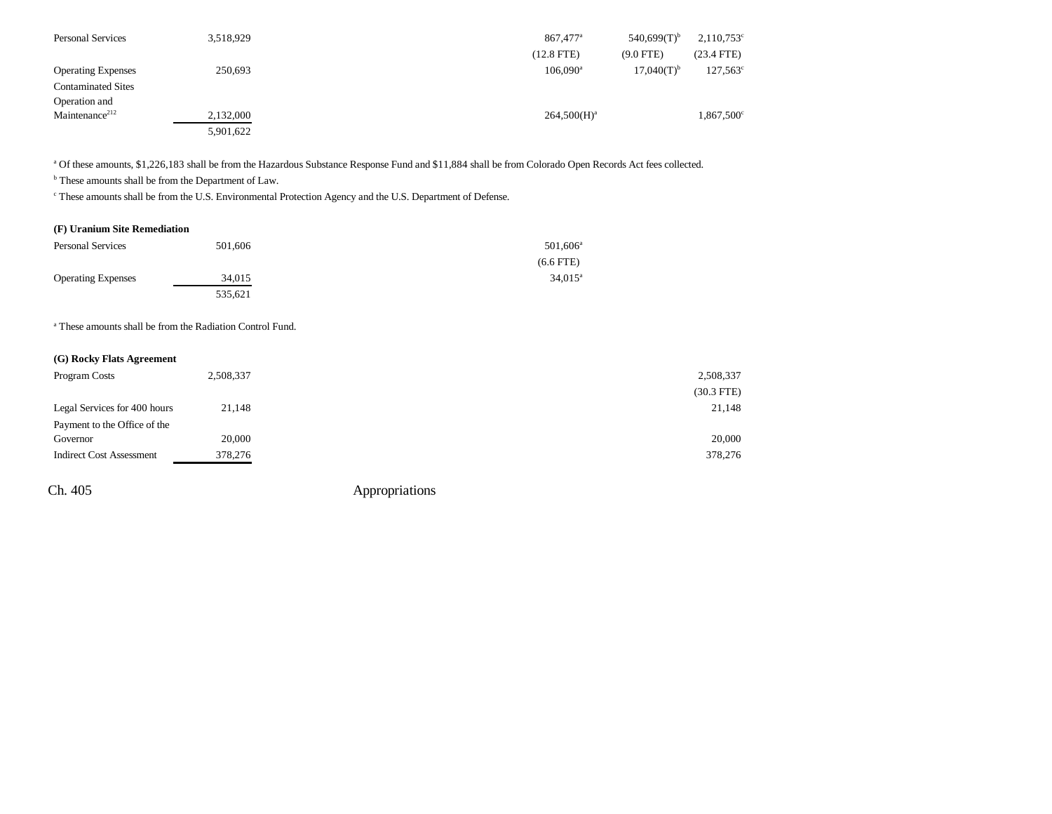| <b>Personal Services</b>   | 3,518,929 | $540,699(T)^{b}$<br>867,477 <sup>a</sup>      | $2,110,753^{\circ}$ |
|----------------------------|-----------|-----------------------------------------------|---------------------|
|                            |           | $(12.8$ FTE)<br>$(9.0$ FTE)                   | $(23.4$ FTE)        |
| <b>Operating Expenses</b>  | 250,693   | $17,040(T)$ <sup>b</sup><br>$106.090^{\circ}$ | $127,563^{\circ}$   |
| <b>Contaminated Sites</b>  |           |                                               |                     |
| Operation and              |           |                                               |                     |
| Maintenance <sup>212</sup> | 2,132,000 | $264,500(H)^a$                                | $1,867,500^{\circ}$ |
|                            | 5,901,622 |                                               |                     |

a Of these amounts, \$1,226,183 shall be from the Hazardous Substance Response Fund and \$11,884 shall be from Colorado Open Records Act fees collected.

 $^{\rm b}$  These amounts shall be from the Department of Law.

c These amounts shall be from the U.S. Environmental Protection Agency and the U.S. Department of Defense.

#### **(F) Uranium Site Remediation**

| <b>Personal Services</b>  | 501,606 | $501,606^{\circ}$ |
|---------------------------|---------|-------------------|
|                           |         | $(6.6$ FTE)       |
| <b>Operating Expenses</b> | 34,015  | $34.015^{\circ}$  |
|                           | 535.621 |                   |

a These amounts shall be from the Radiation Control Fund.

### **(G) Rocky Flats Agreement**

| Program Costs                   | 2,508,337 | 2,508,337    |
|---------------------------------|-----------|--------------|
|                                 |           | $(30.3$ FTE) |
| Legal Services for 400 hours    | 21,148    | 21,148       |
| Payment to the Office of the    |           |              |
| Governor                        | 20,000    | 20,000       |
| <b>Indirect Cost Assessment</b> | 378,276   | 378,276      |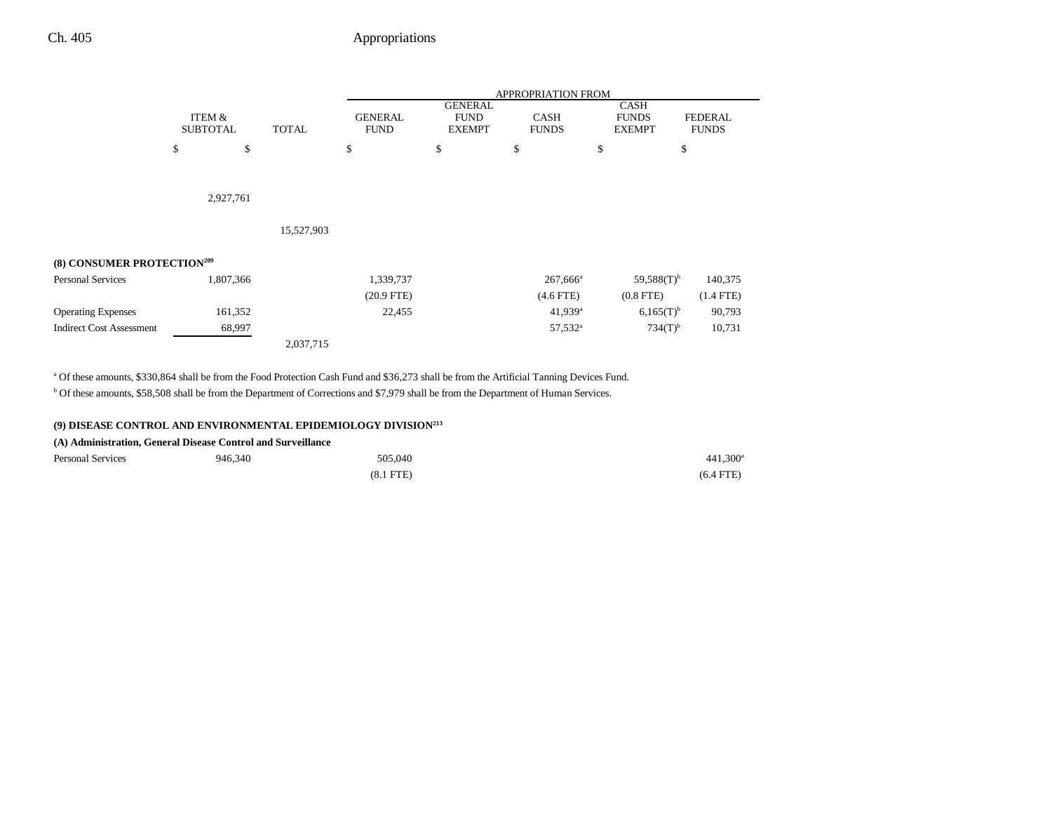|                                        |                           |              | <b>APPROPRIATION FROM</b>     |                                                |                             |                                              |                                |
|----------------------------------------|---------------------------|--------------|-------------------------------|------------------------------------------------|-----------------------------|----------------------------------------------|--------------------------------|
|                                        | ITEM &<br><b>SUBTOTAL</b> | <b>TOTAL</b> | <b>GENERAL</b><br><b>FUND</b> | <b>GENERAL</b><br><b>FUND</b><br><b>EXEMPT</b> | <b>CASH</b><br><b>FUNDS</b> | <b>CASH</b><br><b>FUNDS</b><br><b>EXEMPT</b> | <b>FEDERAL</b><br><b>FUNDS</b> |
|                                        | \$<br>\$                  |              | \$                            | \$                                             | \$                          | \$                                           | \$                             |
|                                        |                           |              |                               |                                                |                             |                                              |                                |
|                                        | 2,927,761                 |              |                               |                                                |                             |                                              |                                |
|                                        |                           | 15,527,903   |                               |                                                |                             |                                              |                                |
| (8) CONSUMER PROTECTION <sup>209</sup> |                           |              |                               |                                                |                             |                                              |                                |
| <b>Personal Services</b>               | 1,807,366                 |              | 1,339,737                     |                                                | $267,666^a$                 | $59,588(T)$ <sup>b</sup>                     | 140,375                        |
|                                        |                           |              | $(20.9$ FTE)                  |                                                | $(4.6$ FTE)                 | $(0.8$ FTE $)$                               | $(1.4$ FTE $)$                 |
| <b>Operating Expenses</b>              | 161,352                   |              | 22,455                        |                                                | 41,939 <sup>a</sup>         | $6,165(T)^{b}$                               | 90,793                         |
| <b>Indirect Cost Assessment</b>        | 68,997                    |              |                               |                                                | 57,532 <sup>a</sup>         | $734(T)$ <sup>b</sup>                        | 10,731                         |
|                                        |                           | 2,037,715    |                               |                                                |                             |                                              |                                |

a Of these amounts, \$330,864 shall be from the Food Protection Cash Fund and \$36,273 shall be from the Artificial Tanning Devices Fund.

b Of these amounts, \$58,508 shall be from the Department of Corrections and \$7,979 shall be from the Department of Human Services.

### **(9) DISEASE CONTROL AND ENVIRONMENTAL EPIDEMIOLOGY DIVISION213**

**(A) Administration, General Disease Control and Surveillance**

| <b>Personal Services</b> | 946,340 | 505,040     | 441,300 <sup>a</sup> |
|--------------------------|---------|-------------|----------------------|
|                          |         | $(8.1$ FTE) | $(6.4$ FTE)          |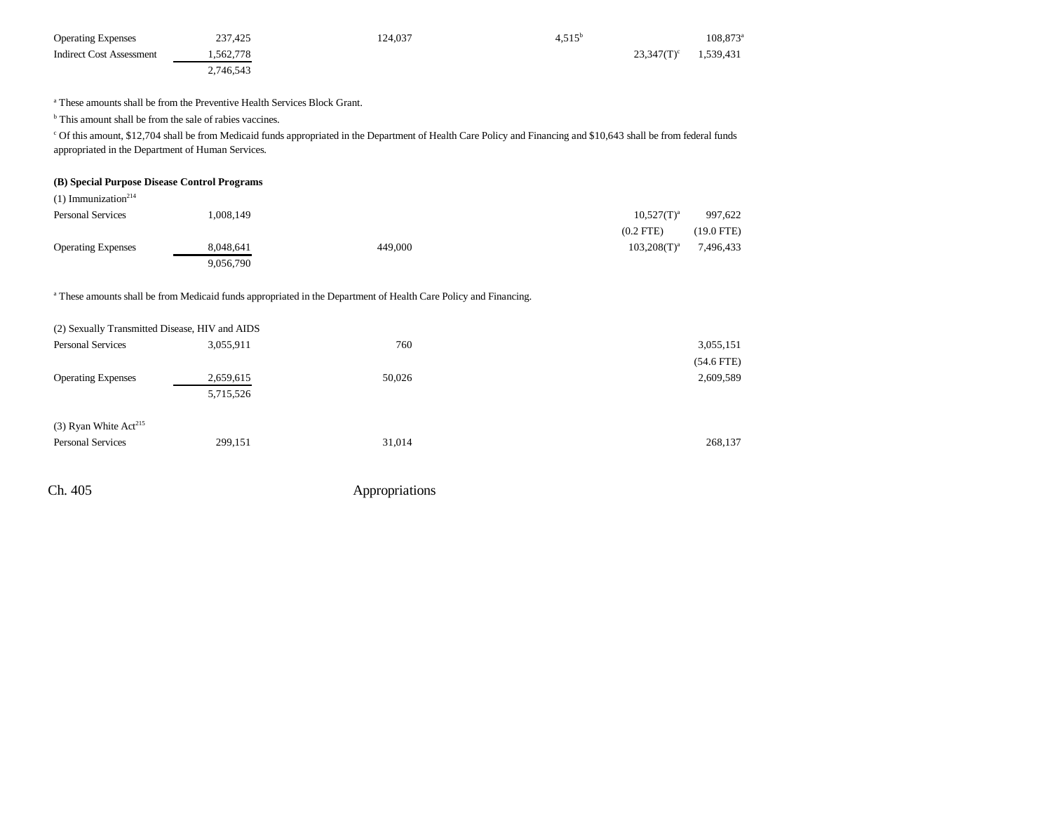| <b>Operating Expenses</b> | 237,425   | 124.037 | $4.515^{\circ}$ |               | 108,873 <sup>a</sup> |
|---------------------------|-----------|---------|-----------------|---------------|----------------------|
| Indirect Cost Assessment  | .562.778  |         |                 | $23.347(T)^c$ | 1,539,431            |
|                           | 2,746,543 |         |                 |               |                      |

a These amounts shall be from the Preventive Health Services Block Grant.

<sup>b</sup> This amount shall be from the sale of rabies vaccines.

c Of this amount, \$12,704 shall be from Medicaid funds appropriated in the Department of Health Care Policy and Financing and \$10,643 shall be from federal funds appropriated in the Department of Human Services.

#### **(B) Special Purpose Disease Control Programs**

| $(1)$ Immunization <sup>214</sup> |           |         |                  |            |
|-----------------------------------|-----------|---------|------------------|------------|
| <b>Personal Services</b>          | 1.008.149 |         | $10,527(T)^{a}$  | 997,622    |
|                                   |           |         | $(0.2$ FTE)      | (19.0 FTE) |
| <b>Operating Expenses</b>         | 8.048.641 | 449,000 | $103,208(T)^{a}$ | 7,496,433  |
|                                   | 9,056,790 |         |                  |            |

a These amounts shall be from Medicaid funds appropriated in the Department of Health Care Policy and Financing.

| (2) Sexually Transmitted Disease, HIV and AIDS |           |        |              |
|------------------------------------------------|-----------|--------|--------------|
| <b>Personal Services</b>                       | 3,055,911 | 760    | 3,055,151    |
|                                                |           |        | $(54.6$ FTE) |
| <b>Operating Expenses</b>                      | 2,659,615 | 50,026 | 2,609,589    |
|                                                | 5,715,526 |        |              |
| $(3)$ Ryan White Act <sup>215</sup>            |           |        |              |
| <b>Personal Services</b>                       | 299,151   | 31,014 | 268,137      |
|                                                |           |        |              |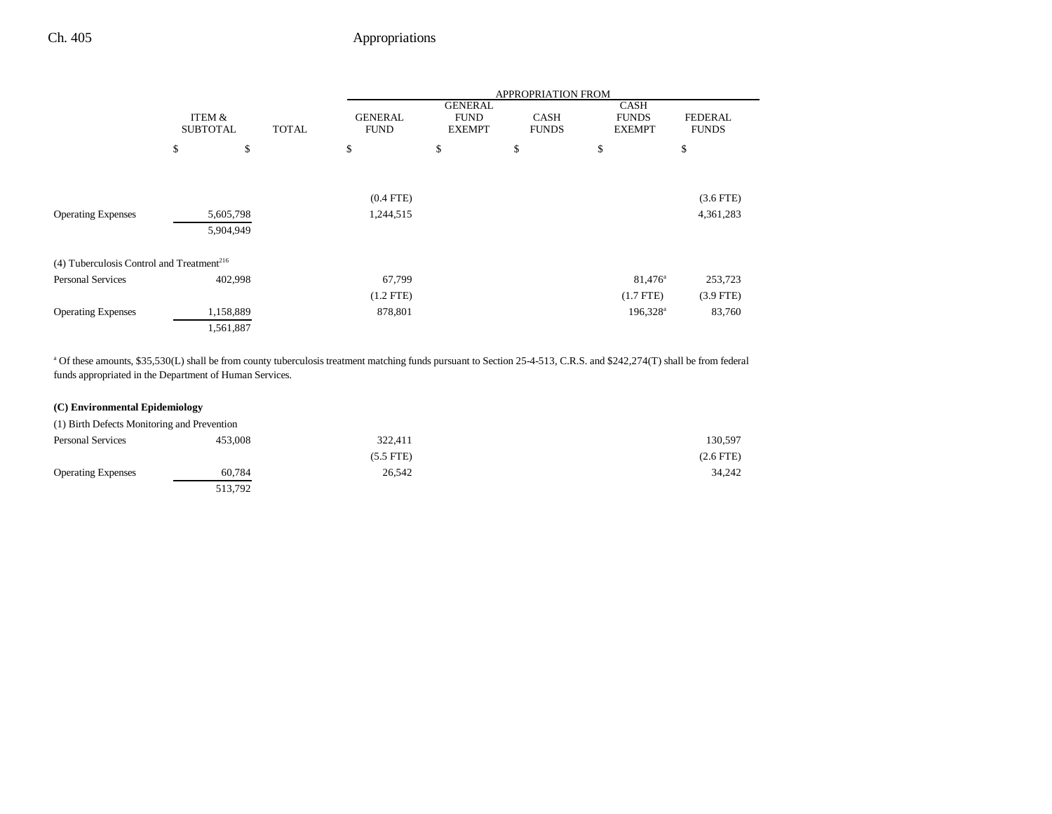|                                                       |                                           |    | <b>APPROPRIATION FROM</b>     |                                                |                             |                                              |                                |
|-------------------------------------------------------|-------------------------------------------|----|-------------------------------|------------------------------------------------|-----------------------------|----------------------------------------------|--------------------------------|
|                                                       | ITEM &<br><b>SUBTOTAL</b><br><b>TOTAL</b> |    | <b>GENERAL</b><br><b>FUND</b> | <b>GENERAL</b><br><b>FUND</b><br><b>EXEMPT</b> | <b>CASH</b><br><b>FUNDS</b> | <b>CASH</b><br><b>FUNDS</b><br><b>EXEMPT</b> | <b>FEDERAL</b><br><b>FUNDS</b> |
|                                                       | \$                                        | \$ | \$                            | \$                                             | \$                          | \$                                           | \$                             |
|                                                       |                                           |    | $(0.4$ FTE)                   |                                                |                             |                                              | $(3.6$ FTE)                    |
| <b>Operating Expenses</b>                             | 5,605,798<br>5,904,949                    |    | 1,244,515                     |                                                |                             |                                              | 4,361,283                      |
| (4) Tuberculosis Control and Treatment <sup>216</sup> |                                           |    |                               |                                                |                             |                                              |                                |
| <b>Personal Services</b>                              | 402,998                                   |    | 67,799                        |                                                |                             | $81,476^{\circ}$                             | 253,723                        |
|                                                       |                                           |    | $(1.2$ FTE)                   |                                                |                             | $(1.7$ FTE)                                  | $(3.9$ FTE)                    |
| <b>Operating Expenses</b>                             | 1,158,889                                 |    | 878,801                       |                                                |                             | 196,328 <sup>a</sup>                         | 83,760                         |
|                                                       | 1,561,887                                 |    |                               |                                                |                             |                                              |                                |

<sup>a</sup> Of these amounts, \$35,530(L) shall be from county tuberculosis treatment matching funds pursuant to Section 25-4-513, C.R.S. and \$242,274(T) shall be from federal funds appropriated in the Department of Human Services.

### **(C) Environmental Epidemiology**

| (1) Birth Defects Monitoring and Prevention |         |             |             |
|---------------------------------------------|---------|-------------|-------------|
| <b>Personal Services</b>                    | 453,008 | 322,411     | 130,597     |
|                                             |         | $(5.5$ FTE) | $(2.6$ FTE) |
| <b>Operating Expenses</b>                   | 60.784  | 26.542      | 34.242      |
|                                             | 513,792 |             |             |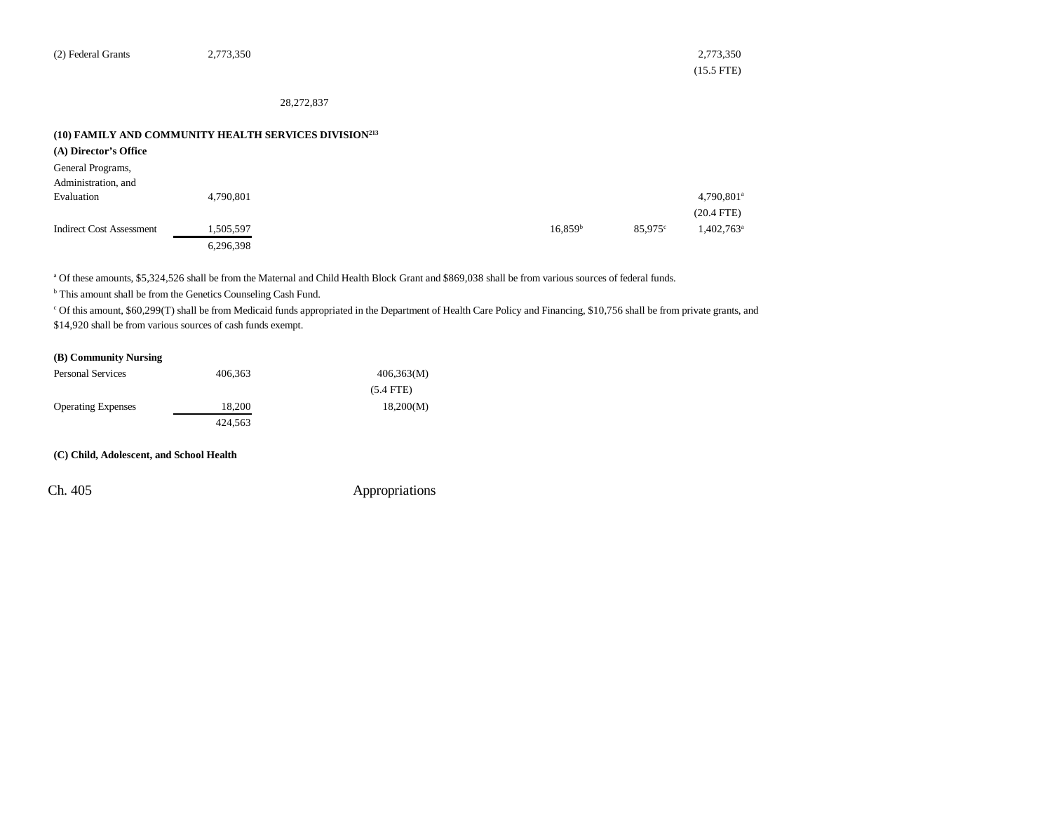| (2) Federal Grants | 2,773,350 | 2,773,350            |
|--------------------|-----------|----------------------|
|                    |           | $(15.5 \text{ FTE})$ |

28,272,837

#### **(10) FAMILY AND COMMUNITY HEALTH SERVICES DIVISION213**

| (A) Director's Office           |           |                     |            |                          |
|---------------------------------|-----------|---------------------|------------|--------------------------|
| General Programs,               |           |                     |            |                          |
| Administration, and             |           |                     |            |                          |
| Evaluation                      | 4,790,801 |                     |            | 4,790,801 <sup>a</sup>   |
|                                 |           |                     |            | $(20.4$ FTE)             |
| <b>Indirect Cost Assessment</b> | 1,505,597 | 16,859 <sup>b</sup> | $85.975$ ° | $1,402,763$ <sup>a</sup> |
|                                 | 6,296,398 |                     |            |                          |

a Of these amounts, \$5,324,526 shall be from the Maternal and Child Health Block Grant and \$869,038 shall be from various sources of federal funds.

**b** This amount shall be from the Genetics Counseling Cash Fund.

<sup>c</sup> Of this amount, \$60,299(T) shall be from Medicaid funds appropriated in the Department of Health Care Policy and Financing, \$10,756 shall be from private grants, and \$14,920 shall be from various sources of cash funds exempt.

### **(B) Community Nursing**

| <b>Personal Services</b>  | 406.363 | 406,363(M)  |
|---------------------------|---------|-------------|
|                           |         | $(5.4$ FTE) |
| <b>Operating Expenses</b> | 18.200  | 18,200(M)   |
|                           | 424.563 |             |

#### **(C) Child, Adolescent, and School Health**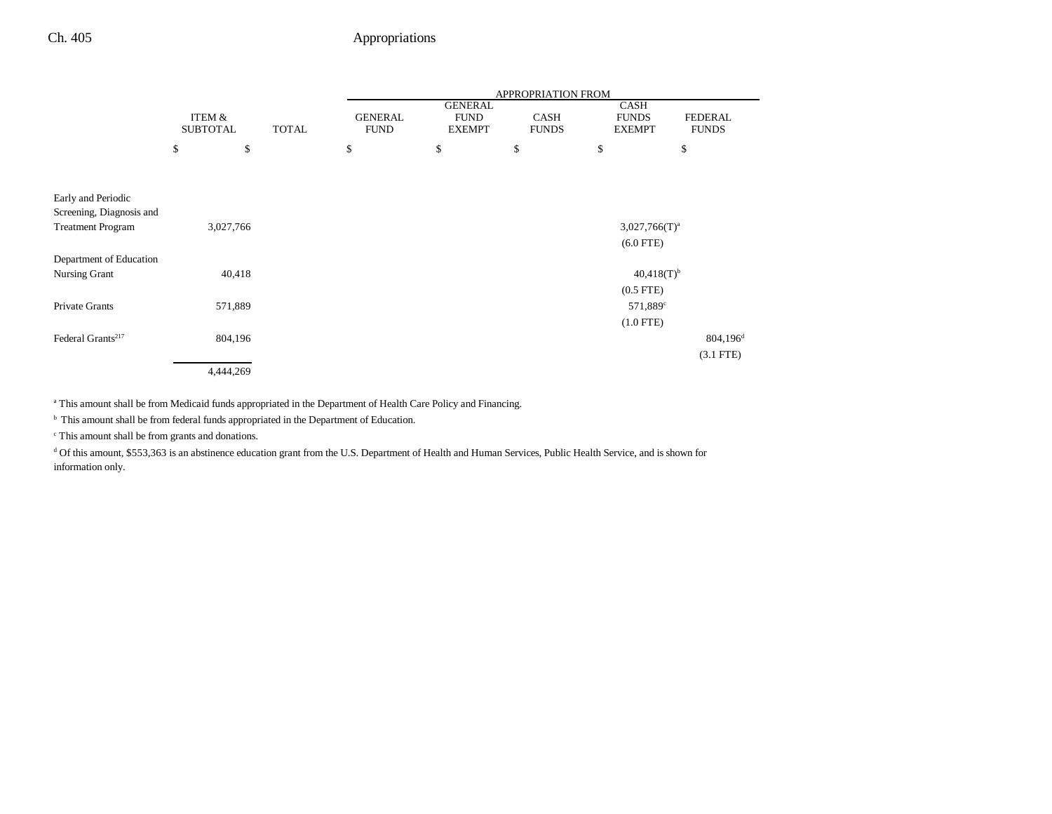|                                                |                           |              | APPROPRIATION FROM            |                                                |                             |                                              |                         |
|------------------------------------------------|---------------------------|--------------|-------------------------------|------------------------------------------------|-----------------------------|----------------------------------------------|-------------------------|
|                                                | ITEM &<br><b>SUBTOTAL</b> | <b>TOTAL</b> | <b>GENERAL</b><br><b>FUND</b> | <b>GENERAL</b><br><b>FUND</b><br><b>EXEMPT</b> | <b>CASH</b><br><b>FUNDS</b> | <b>CASH</b><br><b>FUNDS</b><br><b>EXEMPT</b> | FEDERAL<br><b>FUNDS</b> |
|                                                | \$<br>\$                  |              | \$                            | \$                                             | \$                          | \$                                           | \$                      |
|                                                |                           |              |                               |                                                |                             |                                              |                         |
| Early and Periodic<br>Screening, Diagnosis and |                           |              |                               |                                                |                             |                                              |                         |
| <b>Treatment Program</b>                       | 3,027,766                 |              |                               |                                                |                             | $3,027,766(T)^a$                             |                         |
|                                                |                           |              |                               |                                                |                             | $(6.0$ FTE)                                  |                         |
| Department of Education                        |                           |              |                               |                                                |                             |                                              |                         |
| Nursing Grant                                  | 40,418                    |              |                               |                                                |                             | $40,418(T)^{b}$                              |                         |
|                                                |                           |              |                               |                                                |                             | $(0.5$ FTE $)$                               |                         |
| Private Grants                                 | 571,889                   |              |                               |                                                |                             | 571,889 <sup>c</sup>                         |                         |
|                                                |                           |              |                               |                                                |                             | $(1.0$ FTE)                                  |                         |
| Federal Grants <sup>217</sup>                  | 804,196                   |              |                               |                                                |                             |                                              | $804,196^{\rm d}$       |
|                                                |                           |              |                               |                                                |                             |                                              | $(3.1$ FTE $)$          |
|                                                | 4,444,269                 |              |                               |                                                |                             |                                              |                         |

<sup>a</sup> This amount shall be from Medicaid funds appropriated in the Department of Health Care Policy and Financing.

 $<sup>b</sup>$  This amount shall be from federal funds appropriated in the Department of Education.</sup>

c This amount shall be from grants and donations.

d Of this amount, \$553,363 is an abstinence education grant from the U.S. Department of Health and Human Services, Public Health Service, and is shown for information only.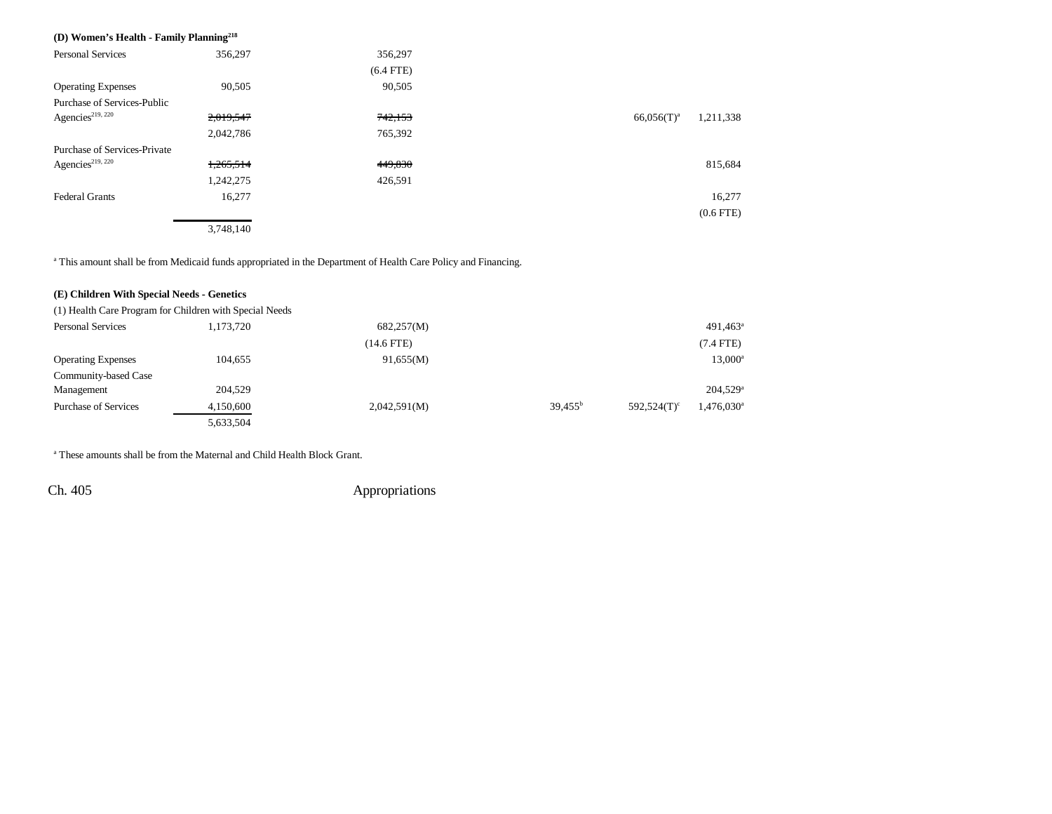| (D) Women's Health - Family Planning <sup>218</sup> |           |             |                            |
|-----------------------------------------------------|-----------|-------------|----------------------------|
| <b>Personal Services</b>                            | 356,297   | 356,297     |                            |
|                                                     |           | $(6.4$ FTE) |                            |
| <b>Operating Expenses</b>                           | 90,505    | 90,505      |                            |
| Purchase of Services-Public                         |           |             |                            |
| Agencies <sup>219, 220</sup>                        | 2,019,547 | 742,153     | 1,211,338<br>$66,056(T)^a$ |
|                                                     | 2,042,786 | 765,392     |                            |
| Purchase of Services-Private                        |           |             |                            |
| Agencies <sup>219, 220</sup>                        | 1,265,514 | 449,830     | 815,684                    |
|                                                     | 1,242,275 | 426,591     |                            |
| <b>Federal Grants</b>                               | 16,277    |             | 16,277                     |
|                                                     |           |             | $(0.6$ FTE $)$             |
|                                                     | 3,748,140 |             |                            |

<sup>a</sup> This amount shall be from Medicaid funds appropriated in the Department of Health Care Policy and Financing.

#### **(E) Children With Special Needs - Genetics**

(1) Health Care Program for Children with Special Needs

| <b>Personal Services</b>  | 1,173,720 | 682,257(M)   |                  |                | $491,463$ <sup>a</sup>   |
|---------------------------|-----------|--------------|------------------|----------------|--------------------------|
|                           |           | $(14.6$ FTE) |                  |                | $(7.4$ FTE)              |
| <b>Operating Expenses</b> | 104,655   | 91,655(M)    |                  |                | $13,000^a$               |
| Community-based Case      |           |              |                  |                |                          |
| Management                | 204,529   |              |                  |                | 204,529 <sup>a</sup>     |
| Purchase of Services      | 4,150,600 | 2,042,591(M) | $39,455^{\rm b}$ | $592,524(T)^c$ | $1,476,030$ <sup>a</sup> |
|                           | 5,633,504 |              |                  |                |                          |

a These amounts shall be from the Maternal and Child Health Block Grant.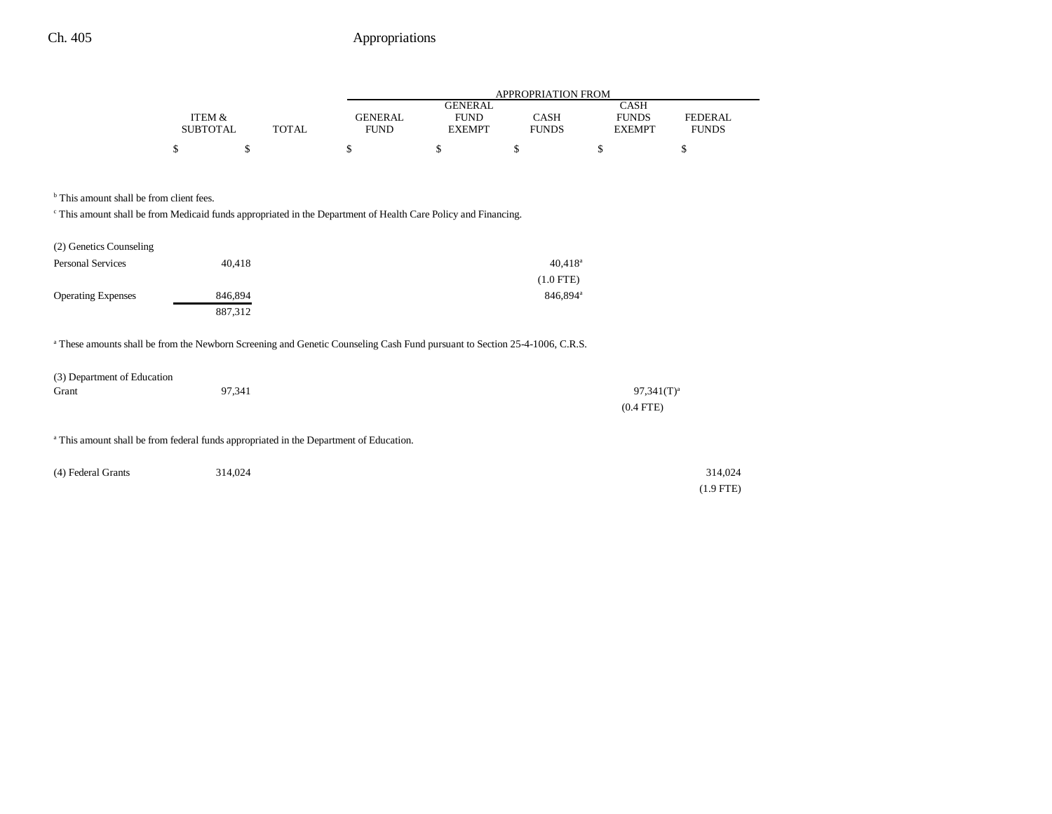|                 |              |                |               | APPROPRIATION FROM |               |              |
|-----------------|--------------|----------------|---------------|--------------------|---------------|--------------|
|                 |              |                | GENERAL       |                    | CASH          |              |
| ITEM &          |              | <b>GENERAL</b> | <b>FUND</b>   | <b>CASH</b>        | <b>FUNDS</b>  | FEDERAL      |
| <b>SUBTOTAL</b> | <b>TOTAL</b> | <b>FUND</b>    | <b>EXEMPT</b> | <b>FUNDS</b>       | <b>EXEMPT</b> | <b>FUNDS</b> |
|                 |              |                |               |                    |               |              |
|                 |              |                |               |                    |               |              |

<sup>b</sup> This amount shall be from client fees.

c This amount shall be from Medicaid funds appropriated in the Department of Health Care Policy and Financing.

| (2) Genetics Counseling   |         |                       |
|---------------------------|---------|-----------------------|
| <b>Personal Services</b>  | 40.418  | $40.418$ <sup>a</sup> |
|                           |         | $(1.0$ FTE)           |
| <b>Operating Expenses</b> | 846.894 | 846,894 <sup>a</sup>  |
|                           | 887,312 |                       |

a These amounts shall be from the Newborn Screening and Genetic Counseling Cash Fund pursuant to Section 25-4-1006, C.R.S.

| (3) Department of Education |        |               |
|-----------------------------|--------|---------------|
| Grant                       | 97,341 | $97,341(T)^3$ |
|                             |        | $(0.4$ FTE)   |

<sup>a</sup> This amount shall be from federal funds appropriated in the Department of Education.

| (4) Federal Grants | 314,024 | 314,024     |
|--------------------|---------|-------------|
|                    |         | $(1.9$ FTE) |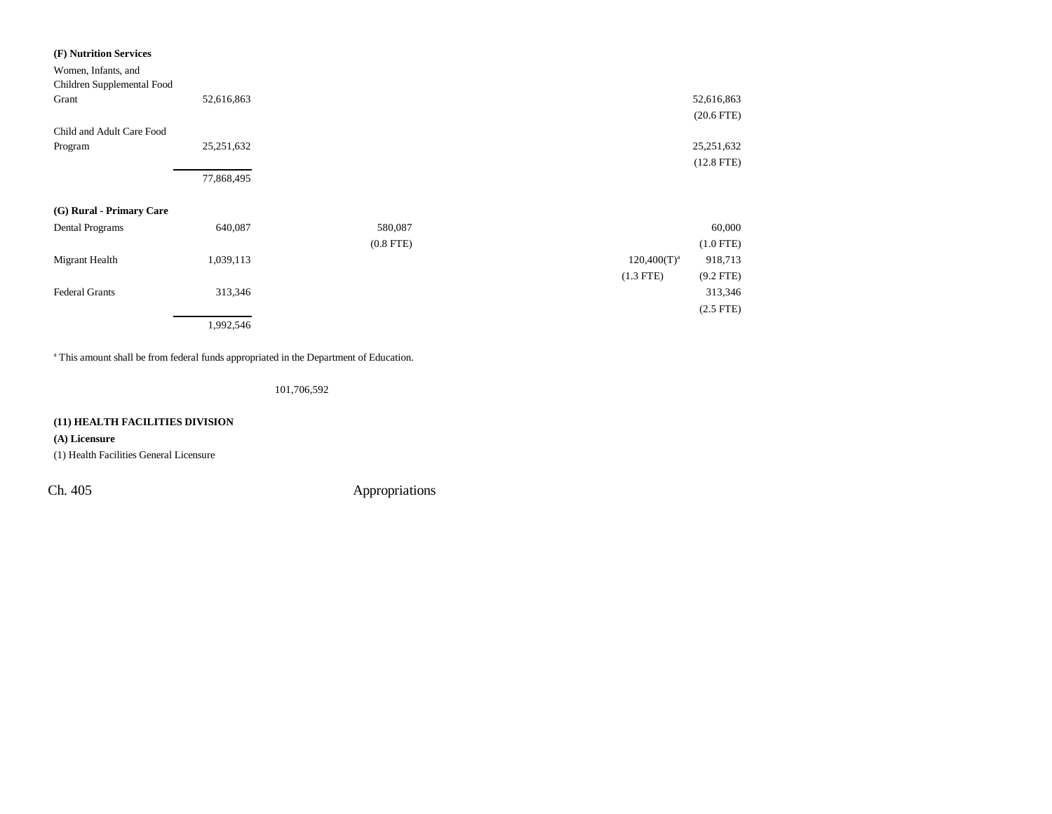| (F) Nutrition Services                            |              |              |
|---------------------------------------------------|--------------|--------------|
| Women, Infants, and<br>Children Supplemental Food |              |              |
| Grant                                             | 52,616,863   | 52,616,863   |
|                                                   |              | $(20.6$ FTE) |
| Child and Adult Care Food                         |              |              |
| Program                                           | 25, 251, 632 | 25,251,632   |
|                                                   |              | $(12.8$ FTE) |
|                                                   | 77,868,495   |              |

### **(G) Rural - Primary Care**

| Dental Programs       | 640,087   | 580,087     |                | 60,000         |
|-----------------------|-----------|-------------|----------------|----------------|
|                       |           | $(0.8$ FTE) |                | $(1.0$ FTE)    |
| Migrant Health        | 1,039,113 |             | $120,400(T)^a$ | 918,713        |
|                       |           |             | $(1.3$ FTE)    | $(9.2$ FTE)    |
| <b>Federal Grants</b> | 313,346   |             |                | 313,346        |
|                       |           |             |                | $(2.5$ FTE $)$ |
|                       | 1,992,546 |             |                |                |

<sup>a</sup> This amount shall be from federal funds appropriated in the Department of Education.

101,706,592

### **(11) HEALTH FACILITIES DIVISION**

### **(A) Licensure**

(1) Health Facilities General Licensure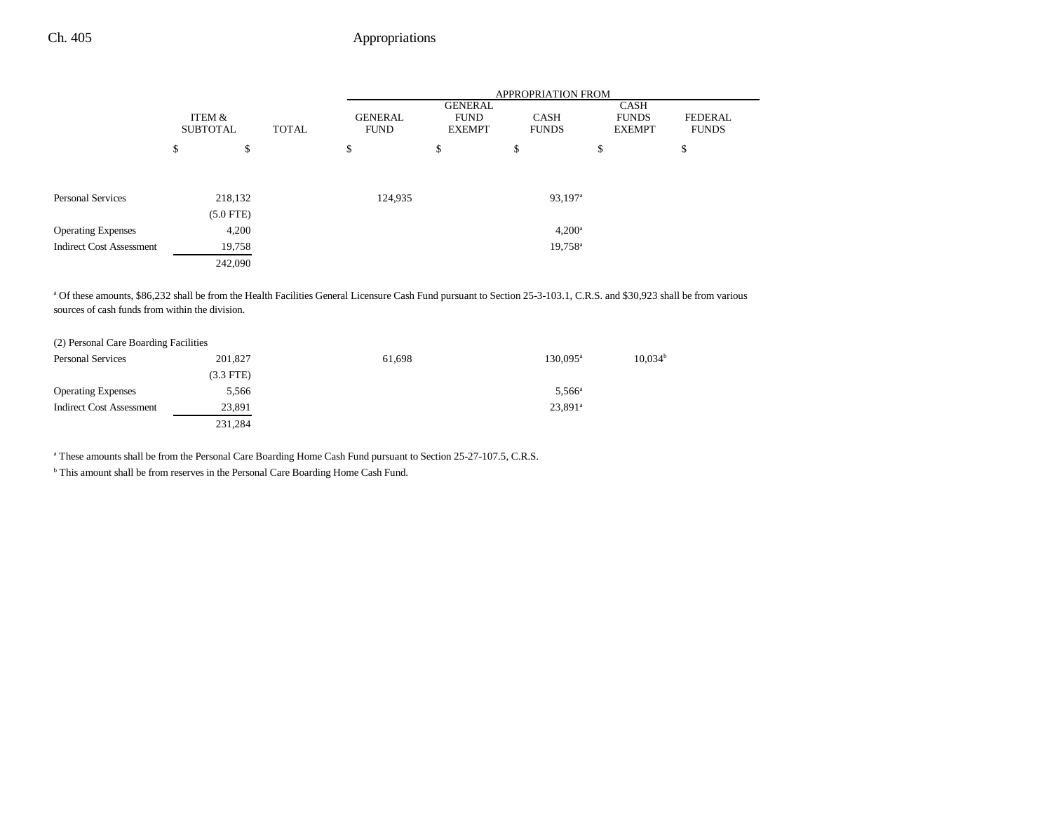|                                 | <b>APPROPRIATION FROM</b> |             |  |         |    |                       |              |                               |                                                |  |                                       |                                |
|---------------------------------|---------------------------|-------------|--|---------|----|-----------------------|--------------|-------------------------------|------------------------------------------------|--|---------------------------------------|--------------------------------|
|                                 | ITEM &<br><b>SUBTOTAL</b> |             |  |         |    |                       | <b>TOTAL</b> | <b>GENERAL</b><br><b>FUND</b> | <b>GENERAL</b><br><b>FUND</b><br><b>EXEMPT</b> |  | CASH<br><b>FUNDS</b><br><b>EXEMPT</b> | <b>FEDERAL</b><br><b>FUNDS</b> |
|                                 | \$                        | \$          |  | \$      | \$ | \$                    | \$           | \$                            |                                                |  |                                       |                                |
|                                 |                           |             |  |         |    |                       |              |                               |                                                |  |                                       |                                |
| <b>Personal Services</b>        |                           | 218,132     |  | 124,935 |    | $93,197$ <sup>a</sup> |              |                               |                                                |  |                                       |                                |
|                                 |                           | $(5.0$ FTE) |  |         |    |                       |              |                               |                                                |  |                                       |                                |
| <b>Operating Expenses</b>       |                           | 4,200       |  |         |    | $4,200^{\rm a}$       |              |                               |                                                |  |                                       |                                |
| <b>Indirect Cost Assessment</b> |                           | 19,758      |  |         |    | 19,758 <sup>a</sup>   |              |                               |                                                |  |                                       |                                |
|                                 |                           | 242,090     |  |         |    |                       |              |                               |                                                |  |                                       |                                |

a Of these amounts, \$86,232 shall be from the Health Facilities General Licensure Cash Fund pursuant to Section 25-3-103.1, C.R.S. and \$30,923 shall be from various sources of cash funds from within the division.

| (2) Personal Care Boarding Facilities |             |        |                   |            |
|---------------------------------------|-------------|--------|-------------------|------------|
| <b>Personal Services</b>              | 201,827     | 61,698 | $130,095^{\rm a}$ | $10,034^t$ |
|                                       | $(3.3$ FTE) |        |                   |            |
| <b>Operating Expenses</b>             | 5,566       |        | $5,566^{\circ}$   |            |
| <b>Indirect Cost Assessment</b>       | 23,891      |        | $23,891^{\circ}$  |            |
|                                       | 231.284     |        |                   |            |

<sup>a</sup> These amounts shall be from the Personal Care Boarding Home Cash Fund pursuant to Section 25-27-107.5, C.R.S.

b This amount shall be from reserves in the Personal Care Boarding Home Cash Fund.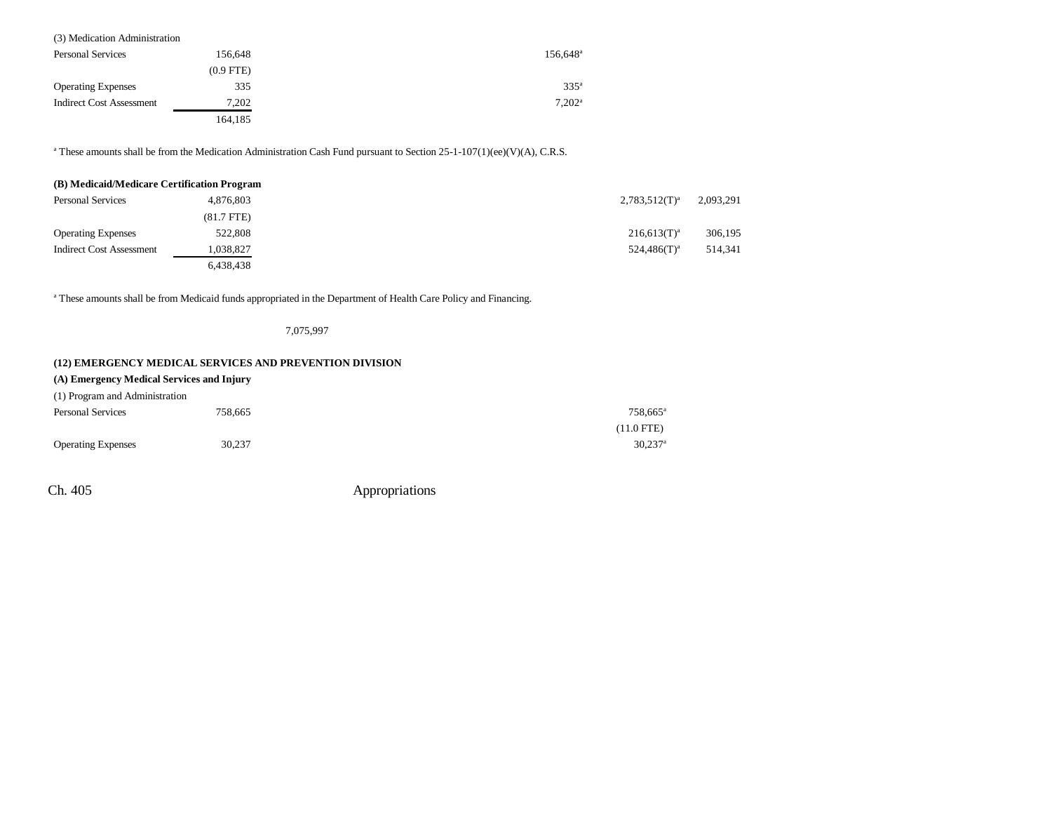| <b>Personal Services</b>        | 156.648     | 156.648 <sup>a</sup> |
|---------------------------------|-------------|----------------------|
|                                 | $(0.9$ FTE) |                      |
| <b>Operating Expenses</b>       | 335         | 335 <sup>a</sup>     |
| <b>Indirect Cost Assessment</b> | 7,202       | $7.202^{\rm a}$      |
|                                 | 164,185     |                      |

<sup>a</sup> These amounts shall be from the Medication Administration Cash Fund pursuant to Section 25-1-107(1)(ee)(V)(A), C.R.S.

| (B) Medicaid/Medicare Certification Program |              |                    |           |
|---------------------------------------------|--------------|--------------------|-----------|
| <b>Personal Services</b>                    | 4,876,803    | $2,783,512(T)^{a}$ | 2,093,291 |
|                                             | $(81.7$ FTE) |                    |           |
| <b>Operating Expenses</b>                   | 522,808      | $216,613(T)^{a}$   | 306,195   |
| <b>Indirect Cost Assessment</b>             | 1,038,827    | $524.486(T)^a$     | 514,341   |
|                                             | 6,438,438    |                    |           |

<sup>a</sup> These amounts shall be from Medicaid funds appropriated in the Department of Health Care Policy and Financing.

7,075,997

### **(12) EMERGENCY MEDICAL SERVICES AND PREVENTION DIVISION**

### **(A) Emergency Medical Services and Injury**

| (1) Program and Administration |         |                       |
|--------------------------------|---------|-----------------------|
| <b>Personal Services</b>       | 758.665 | 758.665 <sup>a</sup>  |
|                                |         | $(11.0$ FTE)          |
| <b>Operating Expenses</b>      | 30,237  | $30.237$ <sup>a</sup> |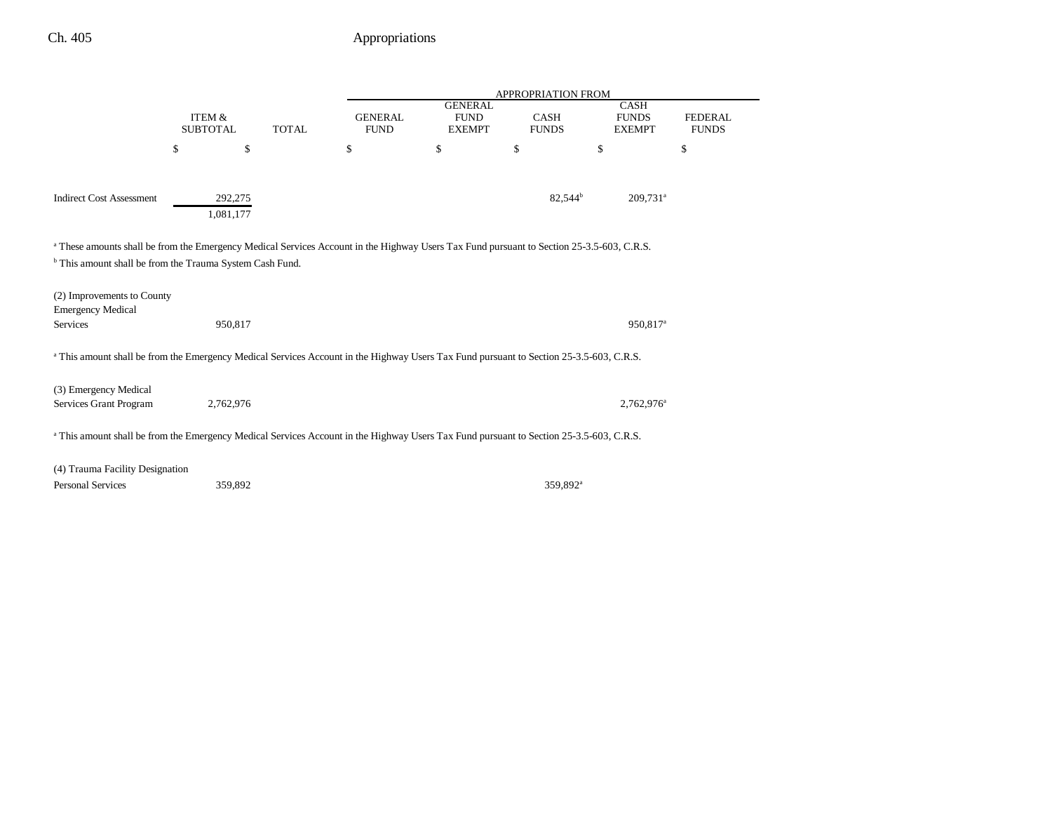|                                                                                                                                                                                                                             |                                           |                      |                               |                                                |    | APPROPRIATION FROM                           |                                |    |
|-----------------------------------------------------------------------------------------------------------------------------------------------------------------------------------------------------------------------------|-------------------------------------------|----------------------|-------------------------------|------------------------------------------------|----|----------------------------------------------|--------------------------------|----|
|                                                                                                                                                                                                                             | ITEM &<br><b>TOTAL</b><br><b>SUBTOTAL</b> |                      | <b>GENERAL</b><br><b>FUND</b> | <b>GENERAL</b><br><b>FUND</b><br><b>EXEMPT</b> |    | <b>CASH</b><br><b>FUNDS</b><br><b>EXEMPT</b> | <b>FEDERAL</b><br><b>FUNDS</b> |    |
|                                                                                                                                                                                                                             | \$                                        | \$                   |                               | \$                                             | \$ | \$                                           | \$                             | \$ |
| <b>Indirect Cost Assessment</b>                                                                                                                                                                                             |                                           | 292,275<br>1,081,177 |                               |                                                |    | 82,544 <sup>b</sup>                          | $209,731$ <sup>a</sup>         |    |
| <sup>a</sup> These amounts shall be from the Emergency Medical Services Account in the Highway Users Tax Fund pursuant to Section 25-3.5-603, C.R.S.<br><sup>b</sup> This amount shall be from the Trauma System Cash Fund. |                                           |                      |                               |                                                |    |                                              |                                |    |
| (2) Improvements to County<br><b>Emergency Medical</b>                                                                                                                                                                      |                                           |                      |                               |                                                |    |                                              |                                |    |
| Services                                                                                                                                                                                                                    |                                           | 950,817              |                               |                                                |    |                                              | 950,817 <sup>a</sup>           |    |
| <sup>a</sup> This amount shall be from the Emergency Medical Services Account in the Highway Users Tax Fund pursuant to Section 25-3.5-603, C.R.S.                                                                          |                                           |                      |                               |                                                |    |                                              |                                |    |
| (3) Emergency Medical<br>Services Grant Program                                                                                                                                                                             |                                           | 2,762,976            |                               |                                                |    |                                              | 2,762,976 <sup>a</sup>         |    |
| <sup>a</sup> This amount shall be from the Emergency Medical Services Account in the Highway Users Tax Fund pursuant to Section 25-3.5-603, C.R.S.                                                                          |                                           |                      |                               |                                                |    |                                              |                                |    |
| (4) Trauma Facility Designation                                                                                                                                                                                             |                                           |                      |                               |                                                |    |                                              |                                |    |
| Personal Services                                                                                                                                                                                                           |                                           | 359,892              |                               |                                                |    | 359.892 <sup>a</sup>                         |                                |    |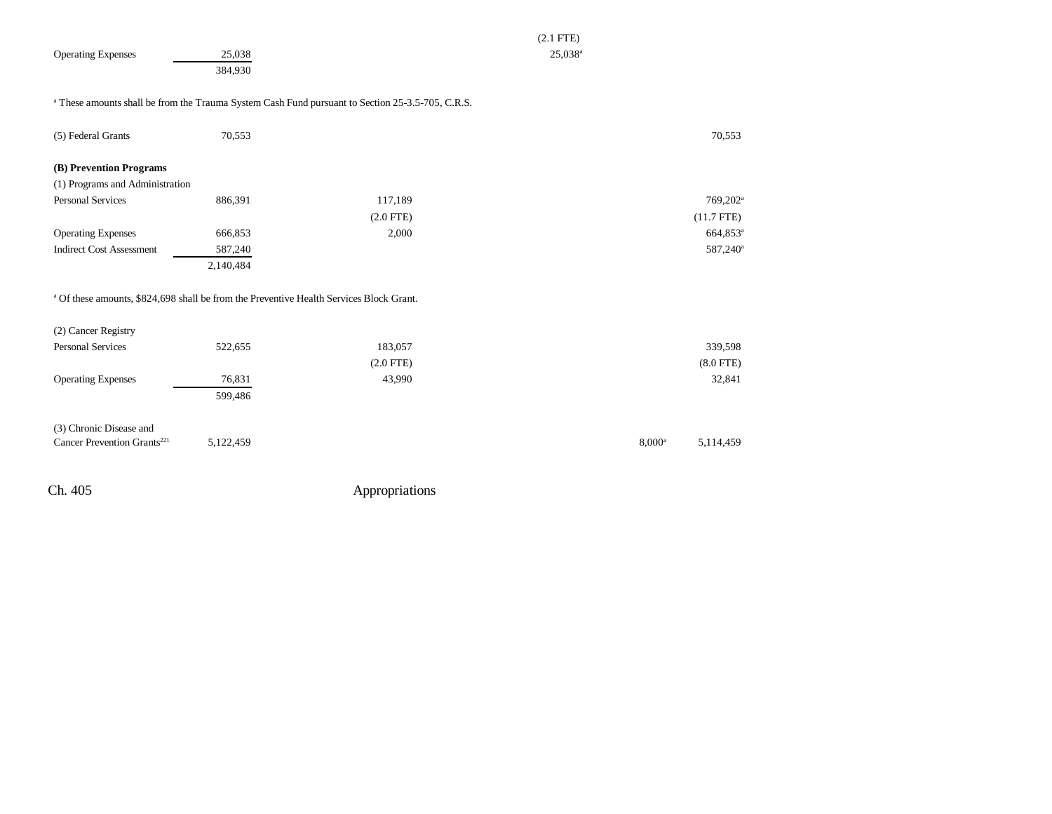|                                         |           | $(2.1$ FTE)                                                                                                 |                        |
|-----------------------------------------|-----------|-------------------------------------------------------------------------------------------------------------|------------------------|
| <b>Operating Expenses</b>               | 25,038    | $25,038^a$                                                                                                  |                        |
|                                         | 384,930   |                                                                                                             |                        |
|                                         |           |                                                                                                             |                        |
|                                         |           | <sup>a</sup> These amounts shall be from the Trauma System Cash Fund pursuant to Section 25-3.5-705, C.R.S. |                        |
| (5) Federal Grants                      | 70,553    |                                                                                                             | 70,553                 |
|                                         |           |                                                                                                             |                        |
| (B) Prevention Programs                 |           |                                                                                                             |                        |
| (1) Programs and Administration         |           |                                                                                                             |                        |
| <b>Personal Services</b>                | 886,391   | 117,189                                                                                                     | 769,202 <sup>a</sup>   |
|                                         |           | $(2.0$ FTE)                                                                                                 | $(11.7$ FTE)           |
| <b>Operating Expenses</b>               | 666,853   | 2,000                                                                                                       | 664,853 <sup>a</sup>   |
| <b>Indirect Cost Assessment</b>         | 587,240   |                                                                                                             | 587,240 <sup>a</sup>   |
|                                         | 2,140,484 |                                                                                                             |                        |
|                                         |           |                                                                                                             |                        |
|                                         |           | <sup>a</sup> Of these amounts, \$824,698 shall be from the Preventive Health Services Block Grant.          |                        |
|                                         |           |                                                                                                             |                        |
| (2) Cancer Registry                     |           |                                                                                                             |                        |
| <b>Personal Services</b>                | 522,655   | 183,057                                                                                                     | 339,598                |
|                                         |           | $(2.0$ FTE)                                                                                                 | $(8.0$ FTE)            |
| <b>Operating Expenses</b>               | 76,831    | 43,990                                                                                                      | 32,841                 |
|                                         | 599,486   |                                                                                                             |                        |
|                                         |           |                                                                                                             |                        |
| (3) Chronic Disease and                 |           |                                                                                                             |                        |
| Cancer Prevention Grants <sup>221</sup> | 5,122,459 |                                                                                                             | $8,000^a$<br>5,114,459 |
|                                         |           |                                                                                                             |                        |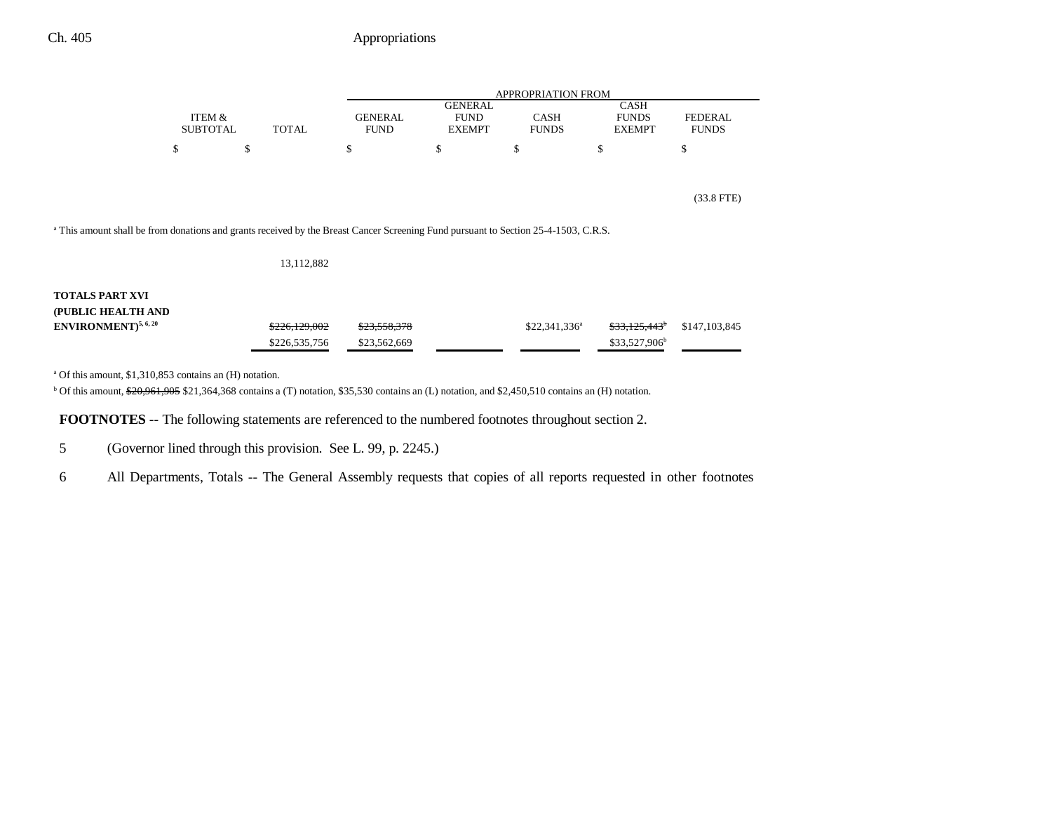|                                                                                                                                                |                           |    |               | <b>APPROPRIATION FROM</b>     |                                                |                             |                                              |                                |  |
|------------------------------------------------------------------------------------------------------------------------------------------------|---------------------------|----|---------------|-------------------------------|------------------------------------------------|-----------------------------|----------------------------------------------|--------------------------------|--|
|                                                                                                                                                | ITEM &<br><b>SUBTOTAL</b> |    | <b>TOTAL</b>  | <b>GENERAL</b><br><b>FUND</b> | <b>GENERAL</b><br><b>FUND</b><br><b>EXEMPT</b> | <b>CASH</b><br><b>FUNDS</b> | <b>CASH</b><br><b>FUNDS</b><br><b>EXEMPT</b> | <b>FEDERAL</b><br><b>FUNDS</b> |  |
|                                                                                                                                                | \$                        | \$ |               | \$                            | \$                                             | \$                          | \$                                           | \$                             |  |
|                                                                                                                                                |                           |    |               |                               |                                                |                             |                                              |                                |  |
|                                                                                                                                                |                           |    |               |                               |                                                |                             |                                              | $(33.8$ FTE)                   |  |
| <sup>a</sup> This amount shall be from donations and grants received by the Breast Cancer Screening Fund pursuant to Section 25-4-1503, C.R.S. |                           |    |               |                               |                                                |                             |                                              |                                |  |
|                                                                                                                                                |                           |    | 13,112,882    |                               |                                                |                             |                                              |                                |  |
| <b>TOTALS PART XVI</b>                                                                                                                         |                           |    |               |                               |                                                |                             |                                              |                                |  |
| (PUBLIC HEALTH AND                                                                                                                             |                           |    |               |                               |                                                |                             |                                              |                                |  |
| ENVIRONMENT) <sup>5, 6, 20</sup>                                                                                                               |                           |    | \$226,129,002 | \$23,558,378                  |                                                | $$22,341,336^a$             | <del>\$33,125,443</del>                      | \$147,103,845                  |  |
|                                                                                                                                                |                           |    | \$226,535,756 | \$23,562,669                  |                                                |                             | \$33,527,906 <sup>b</sup>                    |                                |  |

a Of this amount, \$1,310,853 contains an (H) notation.

<sup>b</sup> Of this amount, \$20,961,905 \$21,364,368 contains a (T) notation, \$35,530 contains an (L) notation, and \$2,450,510 contains an (H) notation.

**FOOTNOTES** -- The following statements are referenced to the numbered footnotes throughout section 2.

5 (Governor lined through this provision. See L. 99, p. 2245.)

6 All Departments, Totals -- The General Assembly requests that copies of all reports requested in other footnotes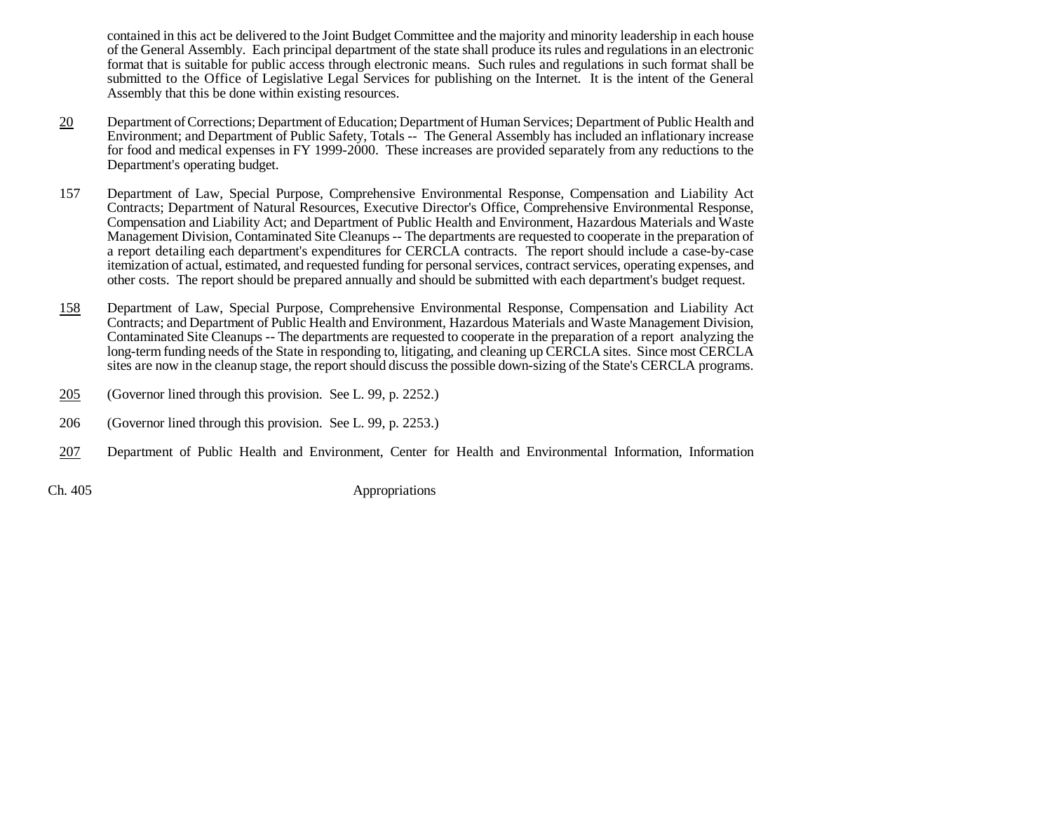contained in this act be delivered to the Joint Budget Committee and the majority and minority leadership in each house of the General Assembly. Each principal department of the state shall produce its rules and regulations in an electronic format that is suitable for public access through electronic means. Such rules and regulations in such format shall be submitted to the Office of Legislative Legal Services for publishing on the Internet. It is the intent of the General Assembly that this be done within existing resources.

- 20 Department of Corrections; Department of Education; Department of Human Services; Department of Public Health and Environment; and Department of Public Safety, Totals -- The General Assembly has included an inflationary increase for food and medical expenses in FY 1999-2000. These increases are provided separately from any reductions to the Department's operating budget.
- 157 Department of Law, Special Purpose, Comprehensive Environmental Response, Compensation and Liability Act Contracts; Department of Natural Resources, Executive Director's Office, Comprehensive Environmental Response, Compensation and Liability Act; and Department of Public Health and Environment, Hazardous Materials and Waste Management Division, Contaminated Site Cleanups -- The departments are requested to cooperate in the preparation of a report detailing each department's expenditures for CERCLA contracts. The report should include a case-by-case itemization of actual, estimated, and requested funding for personal services, contract services, operating expenses, and other costs. The report should be prepared annually and should be submitted with each department's budget request.
- 158 Department of Law, Special Purpose, Comprehensive Environmental Response, Compensation and Liability Act Contracts; and Department of Public Health and Environment, Hazardous Materials and Waste Management Division, Contaminated Site Cleanups -- The departments are requested to cooperate in the preparation of a report analyzing the long-term funding needs of the State in responding to, litigating, and cleaning up CERCLA sites. Since most CERCLA sites are now in the cleanup stage, the report should discuss the possible down-sizing of the State's CERCLA programs.
- 205(Governor lined through this provision. See L. 99, p. 2252.)
- 206 (Governor lined through this provision. See L. 99, p. 2253.)
- 207Department of Public Health and Environment, Center for Health and Environmental Information, Information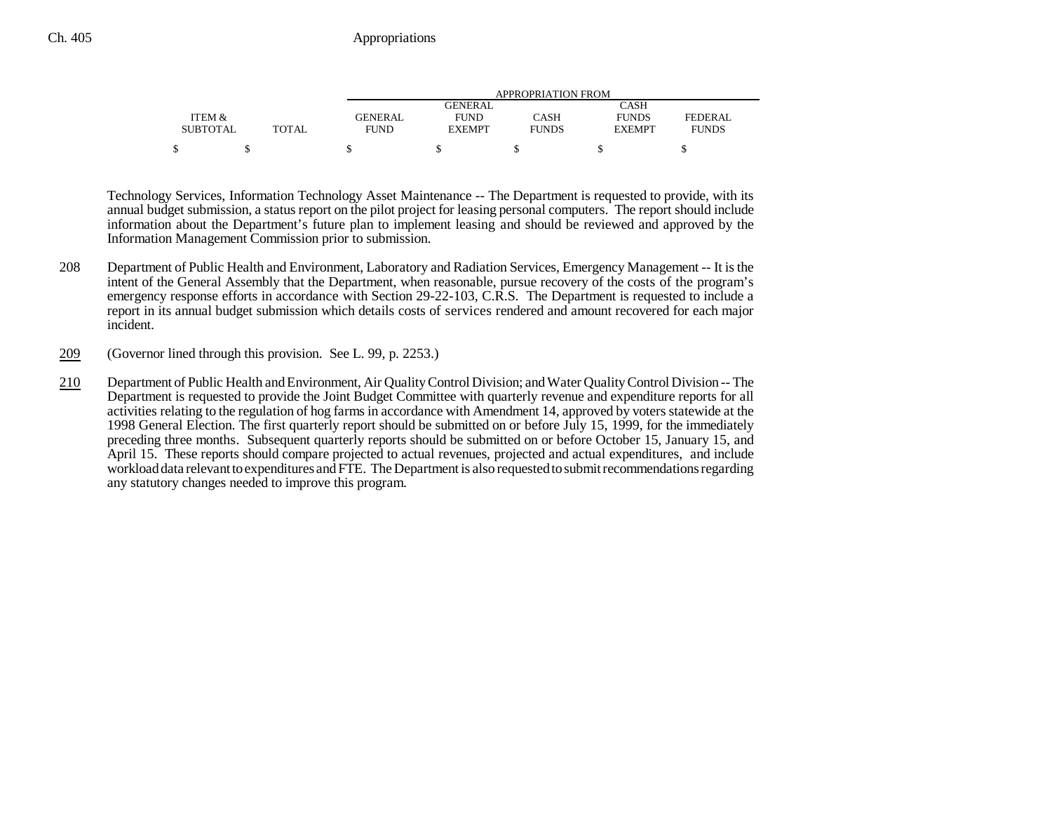|                 |              | APPROPRIATION FROM |               |              |               |              |  |  |  |
|-----------------|--------------|--------------------|---------------|--------------|---------------|--------------|--|--|--|
|                 |              |                    | GENERAL       |              | CASH          |              |  |  |  |
| ITEM &          |              | GENERAL            | <b>FUND</b>   | CASH         | <b>FUNDS</b>  | FEDERAL      |  |  |  |
| <b>SUBTOTAL</b> | <b>TOTAL</b> | <b>FUND</b>        | <b>EXEMPT</b> | <b>FUNDS</b> | <b>EXEMPT</b> | <b>FUNDS</b> |  |  |  |
|                 |              |                    |               |              |               |              |  |  |  |

Technology Services, Information Technology Asset Maintenance -- The Department is requested to provide, with its annual budget submission, a status report on the pilot project for leasing personal computers. The report should include information about the Department's future plan to implement leasing and should be reviewed and approved by the Information Management Commission prior to submission.

- 208 Department of Public Health and Environment, Laboratory and Radiation Services, Emergency Management -- It is the intent of the General Assembly that the Department, when reasonable, pursue recovery of the costs of the program's emergency response efforts in accordance with Section 29-22-103, C.R.S. The Department is requested to include a report in its annual budget submission which details costs of services rendered and amount recovered for each major incident.
- 209(Governor lined through this provision. See L. 99, p. 2253.)
- 210 Department of Public Health and Environment, Air Quality Control Division; and Water Quality Control Division -- The Department is requested to provide the Joint Budget Committee with quarterly revenue and expenditure reports for all activities relating to the regulation of hog farms in accordance with Amendment 14, approved by voters statewide at the 1998 General Election. The first quarterly report should be submitted on or before July 15, 1999, for the immediately preceding three months. Subsequent quarterly reports should be submitted on or before October 15, January 15, and April 15. These reports should compare projected to actual revenues, projected and actual expenditures, and include workload data relevant to expenditures and FTE. The Department is also requested to submit recommendations regarding any statutory changes needed to improve this program.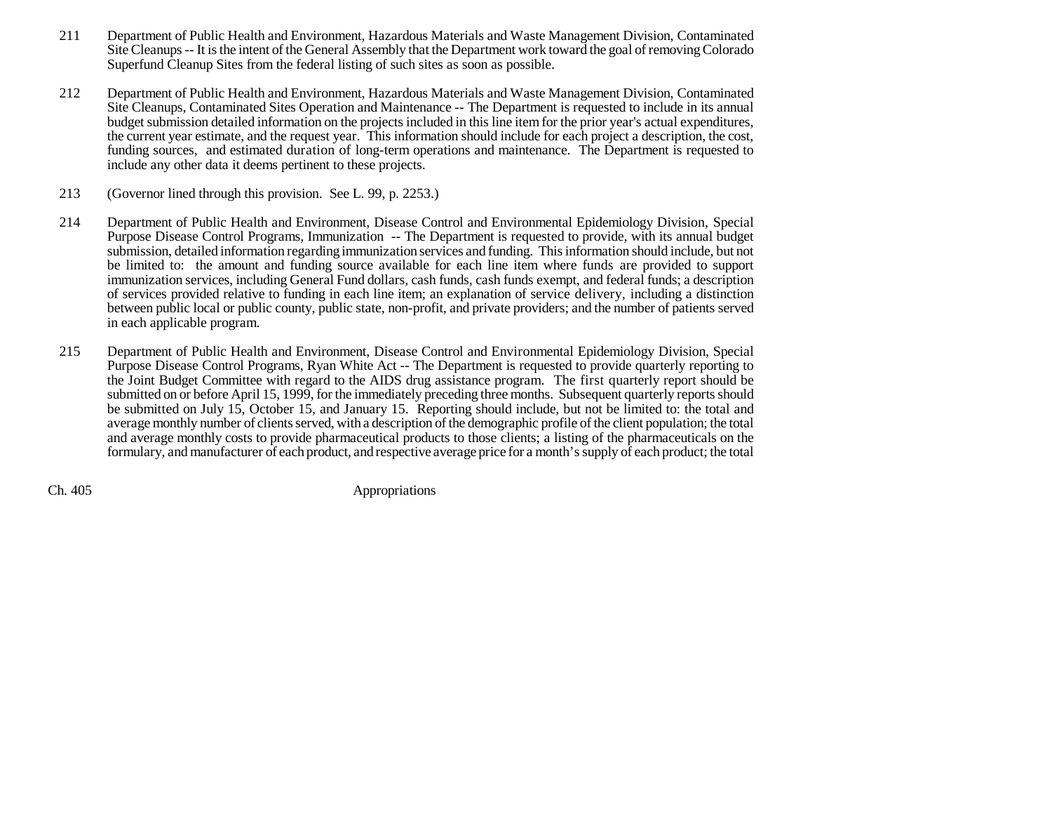- 211 Department of Public Health and Environment, Hazardous Materials and Waste Management Division, Contaminated Site Cleanups -- It is the intent of the General Assembly that the Department work toward the goal of removing Colorado Superfund Cleanup Sites from the federal listing of such sites as soon as possible.
- 212 Department of Public Health and Environment, Hazardous Materials and Waste Management Division, Contaminated Site Cleanups, Contaminated Sites Operation and Maintenance -- The Department is requested to include in its annual budget submission detailed information on the projects included in this line item for the prior year's actual expenditures, the current year estimate, and the request year. This information should include for each project a description, the cost, funding sources, and estimated duration of long-term operations and maintenance. The Department is requested to include any other data it deems pertinent to these projects.
- 213 (Governor lined through this provision. See L. 99, p. 2253.)
- 214 Department of Public Health and Environment, Disease Control and Environmental Epidemiology Division, Special Purpose Disease Control Programs, Immunization -- The Department is requested to provide, with its annual budget submission, detailed information regarding immunization services and funding. This information should include, but not be limited to: the amount and funding source available for each line item where funds are provided to support immunization services, including General Fund dollars, cash funds, cash funds exempt, and federal funds; a description of services provided relative to funding in each line item; an explanation of service delivery, including a distinction between public local or public county, public state, non-profit, and private providers; and the number of patients served in each applicable program.
- 215 Department of Public Health and Environment, Disease Control and Environmental Epidemiology Division, Special Purpose Disease Control Programs, Ryan White Act -- The Department is requested to provide quarterly reporting to the Joint Budget Committee with regard to the AIDS drug assistance program. The first quarterly report should be submitted on or before April 15, 1999, for the immediately preceding three months. Subsequent quarterly reports should be submitted on July 15, October 15, and January 15. Reporting should include, but not be limited to: the total and average monthly number of clients served, with a description of the demographic profile of the client population; the total and average monthly costs to provide pharmaceutical products to those clients; a listing of the pharmaceuticals on the formulary, and manufacturer of each product, and respective average price for a month's supply of each product; the total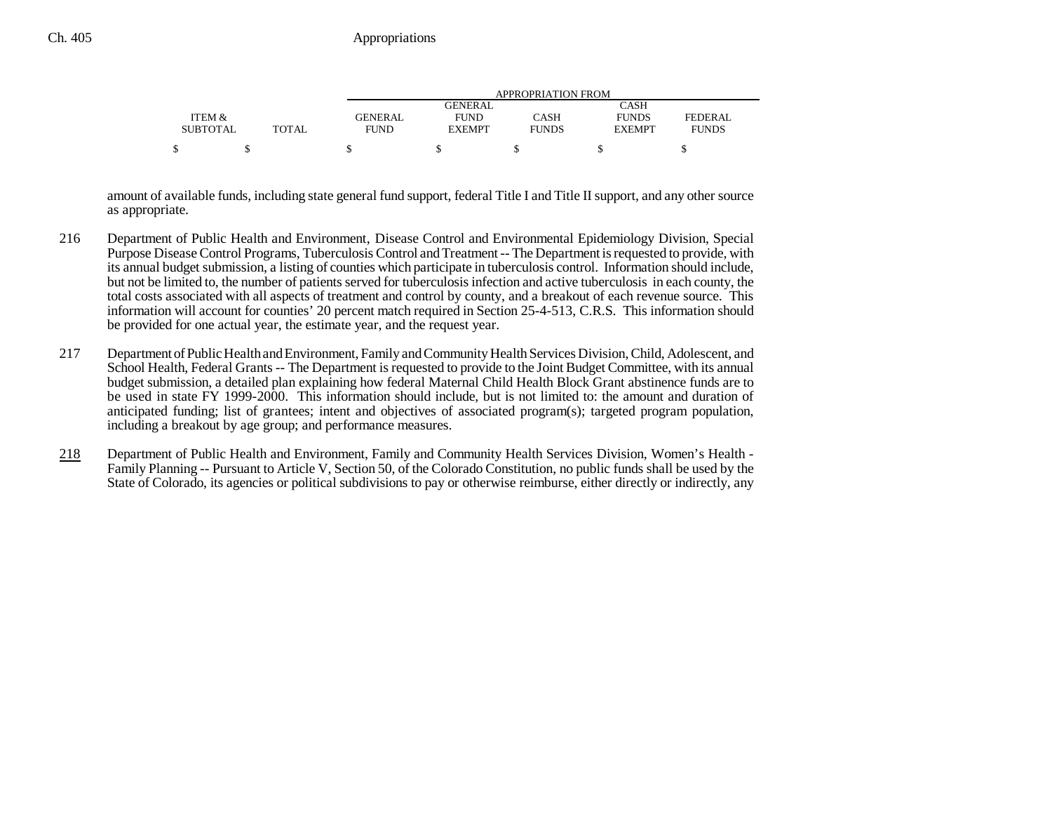|                 |              | APPROPRIATION FROM |               |              |               |              |  |  |  |
|-----------------|--------------|--------------------|---------------|--------------|---------------|--------------|--|--|--|
|                 |              |                    | GENERAL       |              | CASH          |              |  |  |  |
| ITEM &          |              | <b>GENERAL</b>     | <b>FUND</b>   | CASH         | <b>FUNDS</b>  | FEDERAL      |  |  |  |
| <b>SUBTOTAL</b> | <b>TOTAL</b> | FUND               | <b>EXEMPT</b> | <b>FUNDS</b> | <b>EXEMPT</b> | <b>FUNDS</b> |  |  |  |
|                 |              |                    |               |              |               |              |  |  |  |

amount of available funds, including state general fund support, federal Title I and Title II support, and any other source as appropriate.

- 216 Department of Public Health and Environment, Disease Control and Environmental Epidemiology Division, Special Purpose Disease Control Programs, Tuberculosis Control and Treatment -- The Department is requested to provide, with its annual budget submission, a listing of counties which participate in tuberculosis control. Information should include, but not be limited to, the number of patients served for tuberculosis infection and active tuberculosis in each county, the total costs associated with all aspects of treatment and control by county, and a breakout of each revenue source. This information will account for counties' 20 percent match required in Section 25-4-513, C.R.S. This information should be provided for one actual year, the estimate year, and the request year.
- 217 Department of Public Health and Environment, Family and Community Health Services Division, Child, Adolescent, and School Health, Federal Grants -- The Department is requested to provide to the Joint Budget Committee, with its annual budget submission, a detailed plan explaining how federal Maternal Child Health Block Grant abstinence funds are to be used in state FY 1999-2000. This information should include, but is not limited to: the amount and duration of anticipated funding; list of grantees; intent and objectives of associated program(s); targeted program population, including a breakout by age group; and performance measures.
- 218 Department of Public Health and Environment, Family and Community Health Services Division, Women's Health - Family Planning -- Pursuant to Article V, Section 50, of the Colorado Constitution, no public funds shall be used by the State of Colorado, its agencies or political subdivisions to pay or otherwise reimburse, either directly or indirectly, any